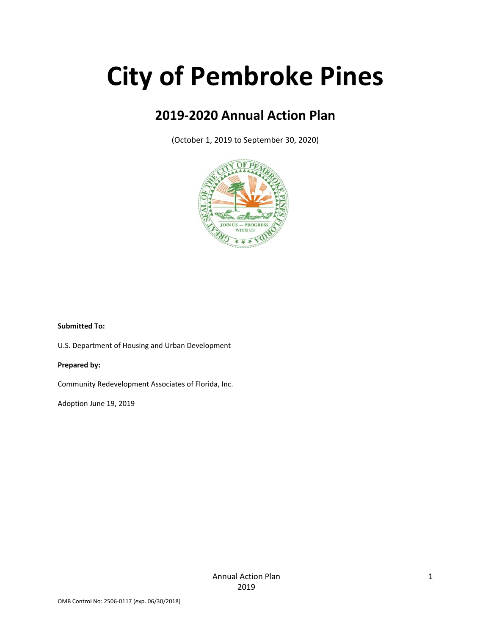# **City of Pembroke Pines**

# **2019‐2020 Annual Action Plan**

(October 1, 2019 to September 30, 2020)



#### **Submitted To:**

U.S. Department of Housing and Urban Development

#### **Prepared by:**

Community Redevelopment Associates of Florida, Inc.

Adoption June 19, 2019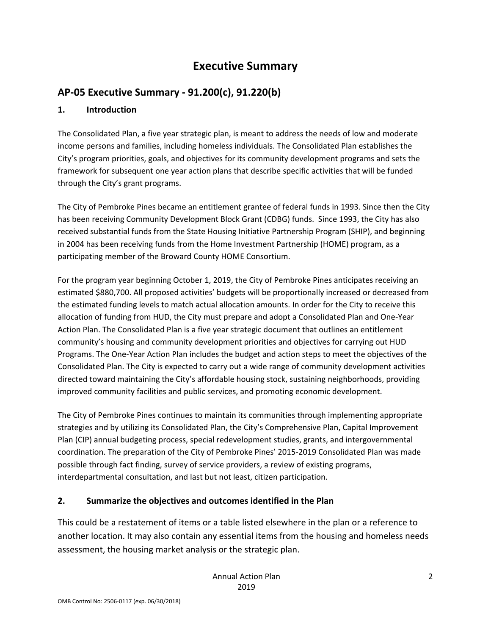# **Executive Summary**

# **AP‐05 Executive Summary ‐ 91.200(c), 91.220(b)**

### **1. Introduction**

The Consolidated Plan, a five year strategic plan, is meant to address the needs of low and moderate income persons and families, including homeless individuals. The Consolidated Plan establishes the City's program priorities, goals, and objectives for its community development programs and sets the framework for subsequent one year action plans that describe specific activities that will be funded through the City's grant programs.

The City of Pembroke Pines became an entitlement grantee of federal funds in 1993. Since then the City has been receiving Community Development Block Grant (CDBG) funds. Since 1993, the City has also received substantial funds from the State Housing Initiative Partnership Program (SHIP), and beginning in 2004 has been receiving funds from the Home Investment Partnership (HOME) program, as a participating member of the Broward County HOME Consortium.

For the program year beginning October 1, 2019, the City of Pembroke Pines anticipates receiving an estimated \$880,700. All proposed activities' budgets will be proportionally increased or decreased from the estimated funding levels to match actual allocation amounts. In order for the City to receive this allocation of funding from HUD, the City must prepare and adopt a Consolidated Plan and One‐Year Action Plan. The Consolidated Plan is a five year strategic document that outlines an entitlement community's housing and community development priorities and objectives for carrying out HUD Programs. The One‐Year Action Plan includes the budget and action steps to meet the objectives of the Consolidated Plan. The City is expected to carry out a wide range of community development activities directed toward maintaining the City's affordable housing stock, sustaining neighborhoods, providing improved community facilities and public services, and promoting economic development.

The City of Pembroke Pines continues to maintain its communities through implementing appropriate strategies and by utilizing its Consolidated Plan, the City's Comprehensive Plan, Capital Improvement Plan (CIP) annual budgeting process, special redevelopment studies, grants, and intergovernmental coordination. The preparation of the City of Pembroke Pines' 2015‐2019 Consolidated Plan was made possible through fact finding, survey of service providers, a review of existing programs, interdepartmental consultation, and last but not least, citizen participation.

# **2. Summarize the objectives and outcomes identified in the Plan**

This could be a restatement of items or a table listed elsewhere in the plan or a reference to another location. It may also contain any essential items from the housing and homeless needs assessment, the housing market analysis or the strategic plan.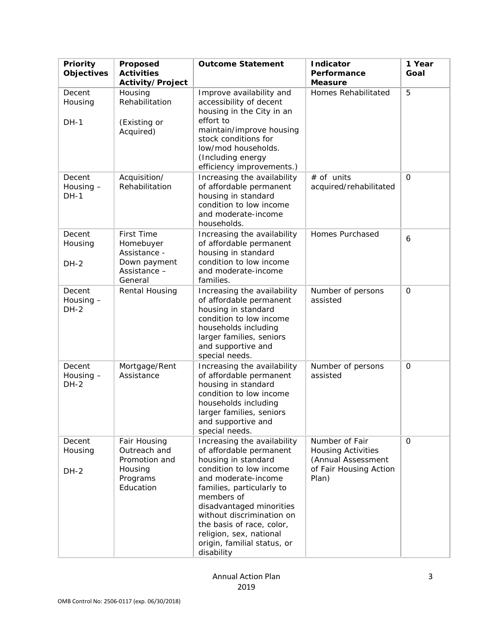| Priority<br>Objectives           | Proposed<br><b>Activities</b><br>Activity/Project                                         | <b>Outcome Statement</b>                                                                                                                                                                                                                                                                                                                 | <b>Indicator</b><br>Performance<br><b>Measure</b>                                                    | 1 Year<br>Goal |
|----------------------------------|-------------------------------------------------------------------------------------------|------------------------------------------------------------------------------------------------------------------------------------------------------------------------------------------------------------------------------------------------------------------------------------------------------------------------------------------|------------------------------------------------------------------------------------------------------|----------------|
| Decent<br>Housing<br>$DH-1$      | Housing<br>Rehabilitation<br>(Existing or<br>Acquired)                                    | Improve availability and<br>accessibility of decent<br>housing in the City in an<br>effort to<br>maintain/improve housing<br>stock conditions for<br>low/mod households.<br>(Including energy<br>efficiency improvements.)                                                                                                               | Homes Rehabilitated                                                                                  | 5              |
| Decent<br>Housing -<br>$DH-1$    | Acquisition/<br>Rehabilitation                                                            | Increasing the availability<br>of affordable permanent<br>housing in standard<br>condition to low income<br>and moderate-income<br>households.                                                                                                                                                                                           | # of units<br>acquired/rehabilitated                                                                 | $\mathbf 0$    |
| Decent<br>Housing<br><b>DH-2</b> | <b>First Time</b><br>Homebuyer<br>Assistance -<br>Down payment<br>Assistance -<br>General | Increasing the availability<br>of affordable permanent<br>housing in standard<br>condition to low income<br>and moderate-income<br>families.                                                                                                                                                                                             | Homes Purchased                                                                                      | 6              |
| Decent<br>Housing -<br>$DH-2$    | Rental Housing                                                                            | Increasing the availability<br>of affordable permanent<br>housing in standard<br>condition to low income<br>households including<br>larger families, seniors<br>and supportive and<br>special needs.                                                                                                                                     | Number of persons<br>assisted                                                                        | $\mathbf 0$    |
| Decent<br>Housing -<br>$DH-2$    | Mortgage/Rent<br>Assistance                                                               | Increasing the availability<br>of affordable permanent<br>housing in standard<br>condition to low income<br>households including<br>larger families, seniors<br>and supportive and<br>special needs.                                                                                                                                     | Number of persons<br>assisted                                                                        | $\mathbf 0$    |
| Decent<br>Housing<br>$DH-2$      | Fair Housing<br>Outreach and<br>Promotion and<br>Housing<br>Programs<br>Education         | Increasing the availability<br>of affordable permanent<br>housing in standard<br>condition to low income<br>and moderate-income<br>families, particularly to<br>members of<br>disadvantaged minorities<br>without discrimination on<br>the basis of race, color,<br>religion, sex, national<br>origin, familial status, or<br>disability | Number of Fair<br><b>Housing Activities</b><br>(Annual Assessment<br>of Fair Housing Action<br>Plan) | $\Omega$       |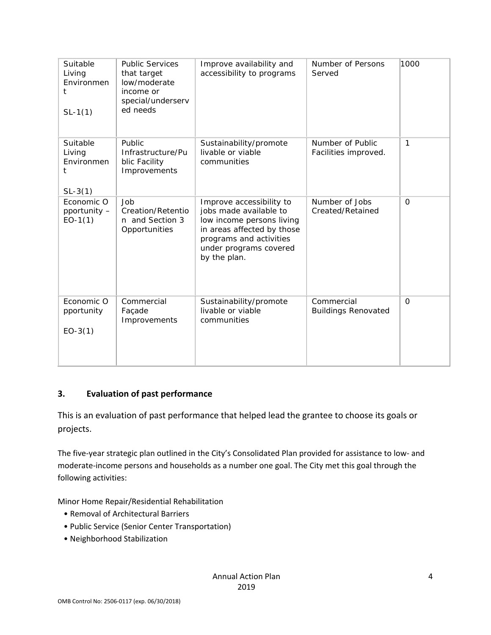| Suitable<br>Living<br>Environmen<br>t<br>$SL-1(1)$ | <b>Public Services</b><br>that target<br>low/moderate<br>income or<br>special/underserv<br>ed needs | Improve availability and<br>accessibility to programs                                                                                                                              | Number of Persons<br>Served              | 1000        |
|----------------------------------------------------|-----------------------------------------------------------------------------------------------------|------------------------------------------------------------------------------------------------------------------------------------------------------------------------------------|------------------------------------------|-------------|
| Suitable<br>Living<br>Environmen<br>t<br>$SL-3(1)$ | <b>Public</b><br>Infrastructure/Pu<br>blic Facility<br>Improvements                                 | Sustainability/promote<br>livable or viable<br>communities                                                                                                                         | Number of Public<br>Facilities improved. | 1           |
| Economic O<br>pportunity -<br>$EO-1(1)$            | Job<br>Creation/Retentio<br>n and Section 3<br>Opportunities                                        | Improve accessibility to<br>jobs made available to<br>low income persons living<br>in areas affected by those<br>programs and activities<br>under programs covered<br>by the plan. | Number of Jobs<br>Created/Retained       | $\mathbf 0$ |
| Economic O<br>pportunity<br>$EO-3(1)$              | Commercial<br>Façade<br>Improvements                                                                | Sustainability/promote<br>livable or viable<br>communities                                                                                                                         | Commercial<br><b>Buildings Renovated</b> | $\Omega$    |

### **3. Evaluation of past performance**

This is an evaluation of past performance that helped lead the grantee to choose its goals or projects.

The five‐year strategic plan outlined in the City's Consolidated Plan provided for assistance to low‐ and moderate‐income persons and households as a number one goal. The City met this goal through the following activities:

Minor Home Repair/Residential Rehabilitation

- Removal of Architectural Barriers
- Public Service (Senior Center Transportation)
- Neighborhood Stabilization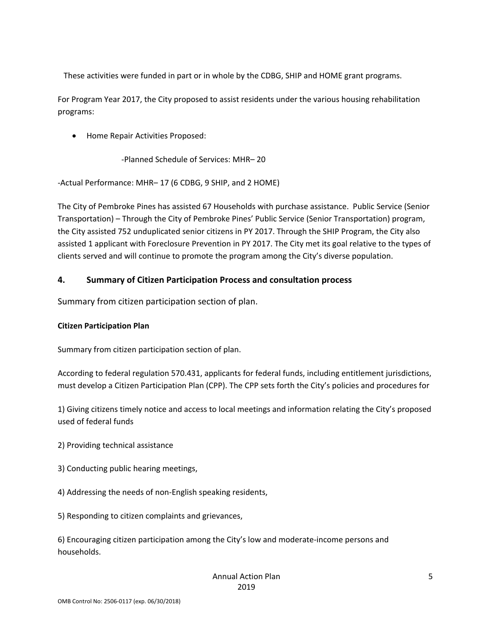These activities were funded in part or in whole by the CDBG, SHIP and HOME grant programs.

For Program Year 2017, the City proposed to assist residents under the various housing rehabilitation programs:

Home Repair Activities Proposed:

‐Planned Schedule of Services: MHR– 20

‐Actual Performance: MHR– 17 (6 CDBG, 9 SHIP, and 2 HOME)

The City of Pembroke Pines has assisted 67 Households with purchase assistance. Public Service (Senior Transportation) – Through the City of Pembroke Pines' Public Service (Senior Transportation) program, the City assisted 752 unduplicated senior citizens in PY 2017. Through the SHIP Program, the City also assisted 1 applicant with Foreclosure Prevention in PY 2017. The City met its goal relative to the types of clients served and will continue to promote the program among the City's diverse population.

#### **4. Summary of Citizen Participation Process and consultation process**

Summary from citizen participation section of plan.

#### **Citizen Participation Plan**

Summary from citizen participation section of plan.

According to federal regulation 570.431, applicants for federal funds, including entitlement jurisdictions, must develop a Citizen Participation Plan (CPP). The CPP sets forth the City's policies and procedures for

1) Giving citizens timely notice and access to local meetings and information relating the City's proposed used of federal funds

- 2) Providing technical assistance
- 3) Conducting public hearing meetings,
- 4) Addressing the needs of non‐English speaking residents,
- 5) Responding to citizen complaints and grievances,

6) Encouraging citizen participation among the City's low and moderate‐income persons and households.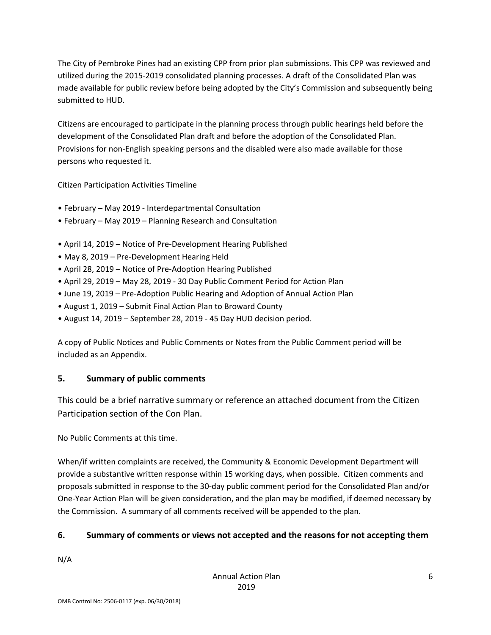The City of Pembroke Pines had an existing CPP from prior plan submissions. This CPP was reviewed and utilized during the 2015‐2019 consolidated planning processes. A draft of the Consolidated Plan was made available for public review before being adopted by the City's Commission and subsequently being submitted to HUD.

Citizens are encouraged to participate in the planning process through public hearings held before the development of the Consolidated Plan draft and before the adoption of the Consolidated Plan. Provisions for non‐English speaking persons and the disabled were also made available for those persons who requested it.

Citizen Participation Activities Timeline

- February May 2019 ‐ Interdepartmental Consultation
- February May 2019 Planning Research and Consultation
- April 14, 2019 Notice of Pre‐Development Hearing Published
- May 8, 2019 Pre‐Development Hearing Held
- April 28, 2019 Notice of Pre‐Adoption Hearing Published
- April 29, 2019 May 28, 2019 ‐ 30 Day Public Comment Period for Action Plan
- June 19, 2019 Pre‐Adoption Public Hearing and Adoption of Annual Action Plan
- August 1, 2019 Submit Final Action Plan to Broward County
- August 14, 2019 September 28, 2019 ‐ 45 Day HUD decision period.

A copy of Public Notices and Public Comments or Notes from the Public Comment period will be included as an Appendix.

# **5. Summary of public comments**

This could be a brief narrative summary or reference an attached document from the Citizen Participation section of the Con Plan.

No Public Comments at this time.

When/if written complaints are received, the Community & Economic Development Department will provide a substantive written response within 15 working days, when possible. Citizen comments and proposals submitted in response to the 30‐day public comment period for the Consolidated Plan and/or One‐Year Action Plan will be given consideration, and the plan may be modified, if deemed necessary by the Commission. A summary of all comments received will be appended to the plan.

# **6. Summary of comments or views not accepted and the reasons for not accepting them**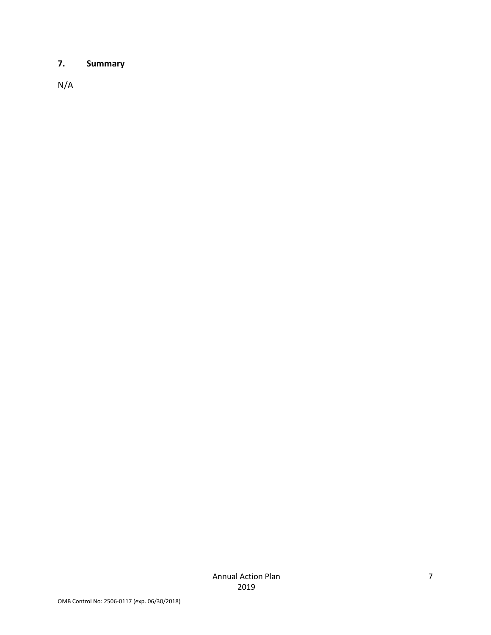# **7. Summary**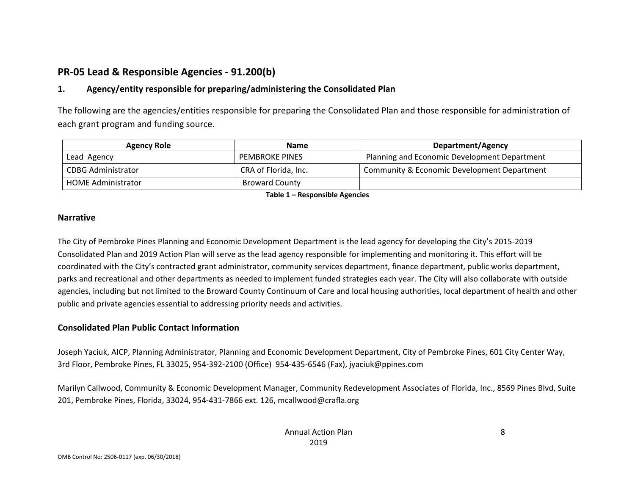# **PR‐05 Lead & Responsible Agencies ‐ 91.200(b)**

#### **1.Agency/entity responsible for preparing/administering the Consolidated Plan**

The following are the agencies/entities responsible for preparing the Consolidated Plan and those responsible for administration of each grant program and funding source.

| <b>Agency Role</b>        | <b>Name</b>           | Department/Agency                            |  |  |
|---------------------------|-----------------------|----------------------------------------------|--|--|
| Lead Agency               | <b>PEMBROKE PINES</b> | Planning and Economic Development Department |  |  |
| CDBG Administrator        | CRA of Florida, Inc.  | Community & Economic Development Department  |  |  |
| <b>HOME Administrator</b> | <b>Broward County</b> |                                              |  |  |

**Table 1 – Responsible Agencies**

#### **Narrative**

The City of Pembroke Pines Planning and Economic Development Department is the lead agency for developing the City's 2015‐2019 Consolidated Plan and 2019 Action Plan will serve as the lead agency responsible for implementing and monitoring it. This effort will be coordinated with the City's contracted grant administrator, community services department, finance department, public works department, parks and recreational and other departments as needed to implement funded strategies each year. The City will also collaborate with outside agencies, including but not limited to the Broward County Continuum of Care and local housing authorities, local department of health and other public and private agencies essential to addressing priority needs and activities.

#### **Consolidated Plan Public Contact Information**

Joseph Yaciuk, AICP, Planning Administrator, Planning and Economic Development Department, City of Pembroke Pines, 601 City Center Way, 3rd Floor, Pembroke Pines, FL 33025, 954‐392‐2100 (Office) 954‐435‐6546 (Fax), jyaciuk@ppines.com

Marilyn Callwood, Community & Economic Development Manager, Community Redevelopment Associates of Florida, Inc., 8569 Pines Blvd, Suite 201, Pembroke Pines, Florida, 33024, 954‐431‐7866 ext. 126, mcallwood@crafla.org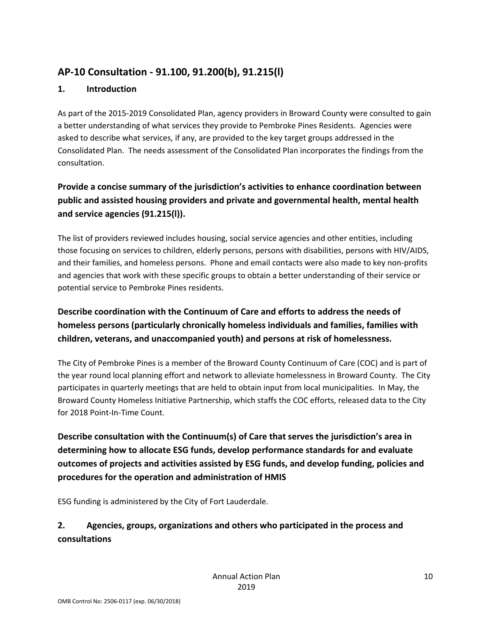# **AP‐10 Consultation ‐ 91.100, 91.200(b), 91.215(l)**

### **1. Introduction**

As part of the 2015‐2019 Consolidated Plan, agency providers in Broward County were consulted to gain a better understanding of what services they provide to Pembroke Pines Residents. Agencies were asked to describe what services, if any, are provided to the key target groups addressed in the Consolidated Plan. The needs assessment of the Consolidated Plan incorporates the findings from the consultation.

# **Provide a concise summary of the jurisdiction's activities to enhance coordination between public and assisted housing providers and private and governmental health, mental health and service agencies (91.215(l)).**

The list of providers reviewed includes housing, social service agencies and other entities, including those focusing on services to children, elderly persons, persons with disabilities, persons with HIV/AIDS, and their families, and homeless persons. Phone and email contacts were also made to key non‐profits and agencies that work with these specific groups to obtain a better understanding of their service or potential service to Pembroke Pines residents.

# **Describe coordination with the Continuum of Care and efforts to address the needs of homeless persons (particularly chronically homeless individuals and families, families with children, veterans, and unaccompanied youth) and persons at risk of homelessness.**

The City of Pembroke Pines is a member of the Broward County Continuum of Care (COC) and is part of the year round local planning effort and network to alleviate homelessness in Broward County. The City participates in quarterly meetings that are held to obtain input from local municipalities. In May, the Broward County Homeless Initiative Partnership, which staffs the COC efforts, released data to the City for 2018 Point‐In‐Time Count.

**Describe consultation with the Continuum(s) of Care that serves the jurisdiction's area in determining how to allocate ESG funds, develop performance standards for and evaluate outcomes of projects and activities assisted by ESG funds, and develop funding, policies and procedures for the operation and administration of HMIS**

ESG funding is administered by the City of Fort Lauderdale.

# **2. Agencies, groups, organizations and others who participated in the process and consultations**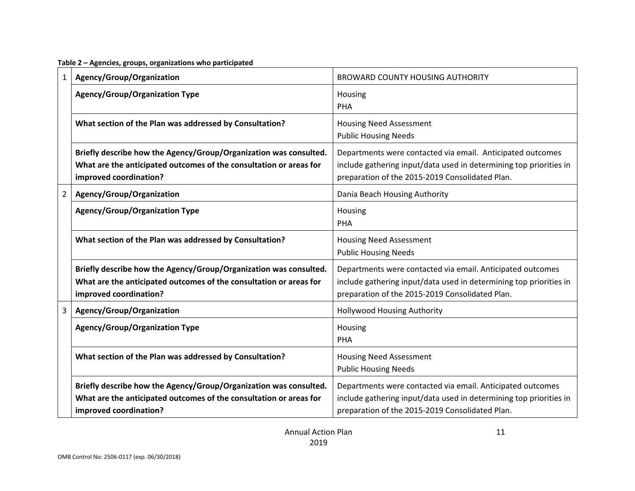**Table 2 – Agencies, groups, organizations who participated**

| $\mathbf{1}$   | Agency/Group/Organization                                                                                                                                         | <b>BROWARD COUNTY HOUSING AUTHORITY</b>                                                                                                                                             |
|----------------|-------------------------------------------------------------------------------------------------------------------------------------------------------------------|-------------------------------------------------------------------------------------------------------------------------------------------------------------------------------------|
|                | <b>Agency/Group/Organization Type</b>                                                                                                                             | Housing<br>PHA                                                                                                                                                                      |
|                | What section of the Plan was addressed by Consultation?                                                                                                           | <b>Housing Need Assessment</b><br><b>Public Housing Needs</b>                                                                                                                       |
|                | Briefly describe how the Agency/Group/Organization was consulted.<br>What are the anticipated outcomes of the consultation or areas for<br>improved coordination? | Departments were contacted via email. Anticipated outcomes<br>include gathering input/data used in determining top priorities in<br>preparation of the 2015-2019 Consolidated Plan. |
| $\overline{2}$ | Agency/Group/Organization                                                                                                                                         | Dania Beach Housing Authority                                                                                                                                                       |
|                | <b>Agency/Group/Organization Type</b>                                                                                                                             | Housing<br>PHA                                                                                                                                                                      |
|                | What section of the Plan was addressed by Consultation?                                                                                                           | <b>Housing Need Assessment</b><br><b>Public Housing Needs</b>                                                                                                                       |
|                | Briefly describe how the Agency/Group/Organization was consulted.<br>What are the anticipated outcomes of the consultation or areas for<br>improved coordination? | Departments were contacted via email. Anticipated outcomes<br>include gathering input/data used in determining top priorities in<br>preparation of the 2015-2019 Consolidated Plan. |
| 3              | Agency/Group/Organization                                                                                                                                         | <b>Hollywood Housing Authority</b>                                                                                                                                                  |
|                | <b>Agency/Group/Organization Type</b>                                                                                                                             | Housing<br>PHA                                                                                                                                                                      |
|                | What section of the Plan was addressed by Consultation?                                                                                                           | <b>Housing Need Assessment</b><br><b>Public Housing Needs</b>                                                                                                                       |
|                | Briefly describe how the Agency/Group/Organization was consulted.<br>What are the anticipated outcomes of the consultation or areas for<br>improved coordination? | Departments were contacted via email. Anticipated outcomes<br>include gathering input/data used in determining top priorities in<br>preparation of the 2015-2019 Consolidated Plan. |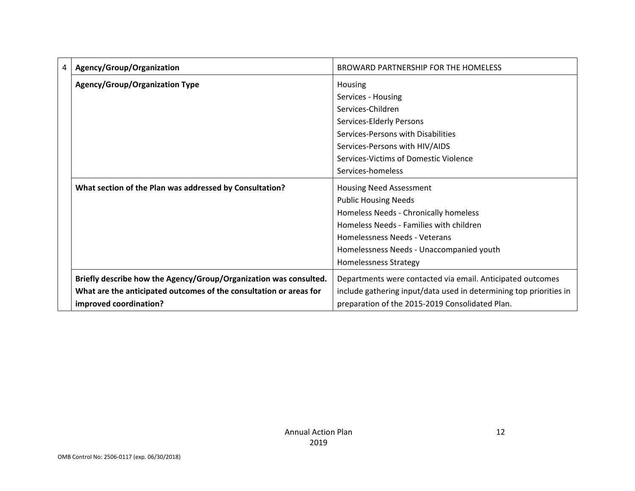| 4 | Agency/Group/Organization                                          | BROWARD PARTNERSHIP FOR THE HOMELESS                               |
|---|--------------------------------------------------------------------|--------------------------------------------------------------------|
|   | Agency/Group/Organization Type                                     | Housing                                                            |
|   |                                                                    | Services - Housing                                                 |
|   |                                                                    | Services-Children                                                  |
|   |                                                                    | Services-Elderly Persons                                           |
|   |                                                                    | Services-Persons with Disabilities                                 |
|   |                                                                    | Services-Persons with HIV/AIDS                                     |
|   |                                                                    | Services-Victims of Domestic Violence                              |
|   |                                                                    | Services-homeless                                                  |
|   | What section of the Plan was addressed by Consultation?            | <b>Housing Need Assessment</b>                                     |
|   |                                                                    | <b>Public Housing Needs</b>                                        |
|   |                                                                    | Homeless Needs - Chronically homeless                              |
|   |                                                                    | Homeless Needs - Families with children                            |
|   |                                                                    | Homelessness Needs - Veterans                                      |
|   |                                                                    | Homelessness Needs - Unaccompanied youth                           |
|   |                                                                    | <b>Homelessness Strategy</b>                                       |
|   | Briefly describe how the Agency/Group/Organization was consulted.  | Departments were contacted via email. Anticipated outcomes         |
|   | What are the anticipated outcomes of the consultation or areas for | include gathering input/data used in determining top priorities in |
|   | improved coordination?                                             | preparation of the 2015-2019 Consolidated Plan.                    |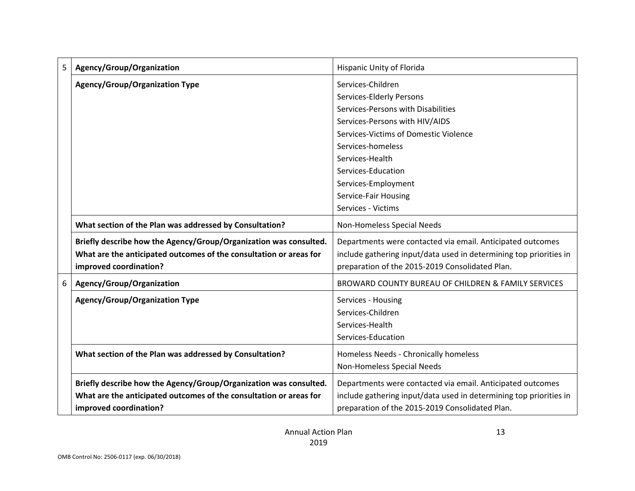| 5 | Agency/Group/Organization                                          | Hispanic Unity of Florida                                          |
|---|--------------------------------------------------------------------|--------------------------------------------------------------------|
|   | <b>Agency/Group/Organization Type</b>                              | Services-Children                                                  |
|   |                                                                    | Services-Elderly Persons                                           |
|   |                                                                    | Services-Persons with Disabilities                                 |
|   |                                                                    | Services-Persons with HIV/AIDS                                     |
|   |                                                                    | Services-Victims of Domestic Violence                              |
|   |                                                                    | Services-homeless                                                  |
|   |                                                                    | Services-Health                                                    |
|   |                                                                    | Services-Education                                                 |
|   |                                                                    | Services-Employment                                                |
|   |                                                                    | Service-Fair Housing                                               |
|   |                                                                    | Services - Victims                                                 |
|   | What section of the Plan was addressed by Consultation?            | Non-Homeless Special Needs                                         |
|   | Briefly describe how the Agency/Group/Organization was consulted.  | Departments were contacted via email. Anticipated outcomes         |
|   | What are the anticipated outcomes of the consultation or areas for | include gathering input/data used in determining top priorities in |
|   | improved coordination?                                             | preparation of the 2015-2019 Consolidated Plan.                    |
| 6 | Agency/Group/Organization                                          | BROWARD COUNTY BUREAU OF CHILDREN & FAMILY SERVICES                |
|   | <b>Agency/Group/Organization Type</b>                              | Services - Housing                                                 |
|   |                                                                    | Services-Children                                                  |
|   |                                                                    | Services-Health                                                    |
|   |                                                                    | Services-Education                                                 |
|   | What section of the Plan was addressed by Consultation?            | Homeless Needs - Chronically homeless                              |
|   |                                                                    | Non-Homeless Special Needs                                         |
|   |                                                                    |                                                                    |
|   | Briefly describe how the Agency/Group/Organization was consulted.  | Departments were contacted via email. Anticipated outcomes         |
|   | What are the anticipated outcomes of the consultation or areas for | include gathering input/data used in determining top priorities in |
|   | improved coordination?                                             | preparation of the 2015-2019 Consolidated Plan.                    |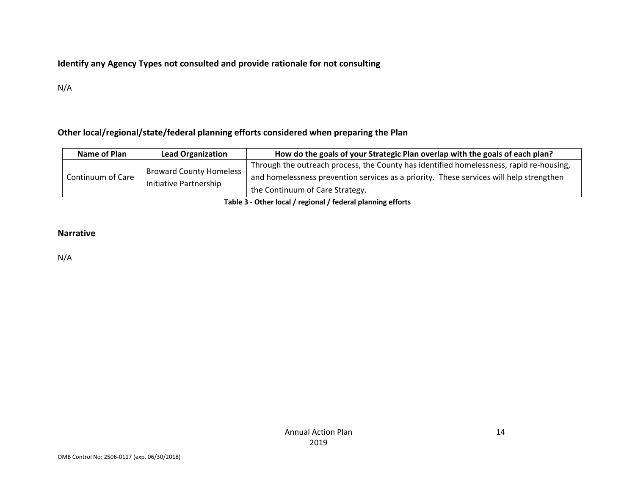### **Identify any Agency Types not consulted and provide rationale for not consulting**

N/A

### **Other local/regional/state/federal planning efforts considered when preparing the Plan**

| Name of Plan      | <b>Lead Organization</b>       | How do the goals of your Strategic Plan overlap with the goals of each plan?            |
|-------------------|--------------------------------|-----------------------------------------------------------------------------------------|
| Continuum of Care | <b>Broward County Homeless</b> | Through the outreach process, the County has identified homelessness, rapid re-housing, |
|                   | Initiative Partnership         | and homelessness prevention services as a priority. These services will help strengthen |
|                   |                                | the Continuum of Care Strategy.                                                         |

**Table 3 ‐ Other local / regional / federal planning efforts**

#### **Narrative**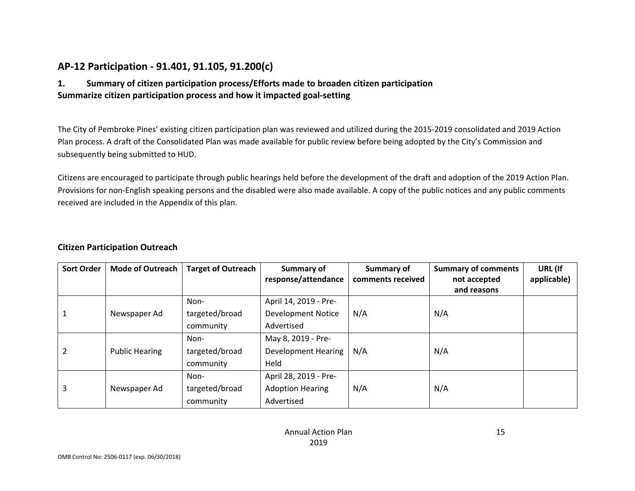# **AP‐12 Participation ‐ 91.401, 91.105, 91.200(c)**

#### **1. Summary of citizen participation process/Efforts made to broaden citizen participation Summarize citizen participation process and how it impacted goal‐setting**

The City of Pembroke Pines' existing citizen participation plan was reviewed and utilized during the 2015‐2019 consolidated and 2019 Action Plan process. A draft of the Consolidated Plan was made available for public review before being adopted by the City's Commission and subsequently being submitted to HUD.

Citizens are encouraged to participate through public hearings held before the development of the draft and adoption of the 2019 Action Plan. Provisions for non‐English speaking persons and the disabled were also made available. A copy of the public notices and any public comments received are included in the Appendix of this plan.

#### **Citizen Participation Outreach**

| <b>Sort Order</b> | <b>Mode of Outreach</b> | <b>Target of Outreach</b> | <b>Summary of</b><br>response/attendance | Summary of<br>comments received | <b>Summary of comments</b><br>not accepted | URL (If<br>applicable) |
|-------------------|-------------------------|---------------------------|------------------------------------------|---------------------------------|--------------------------------------------|------------------------|
|                   |                         |                           |                                          |                                 | and reasons                                |                        |
|                   |                         | Non-                      | April 14, 2019 - Pre-                    |                                 |                                            |                        |
|                   | Newspaper Ad            | targeted/broad            | <b>Development Notice</b>                | N/A                             | N/A                                        |                        |
|                   |                         | community                 | Advertised                               |                                 |                                            |                        |
|                   |                         | Non-                      | May 8, 2019 - Pre-                       |                                 |                                            |                        |
|                   | <b>Public Hearing</b>   | targeted/broad            | <b>Development Hearing</b>               | N/A                             | N/A                                        |                        |
|                   |                         | community                 | Held                                     |                                 |                                            |                        |
|                   |                         | Non-                      | April 28, 2019 - Pre-                    |                                 |                                            |                        |
| 3                 | Newspaper Ad            | targeted/broad            | <b>Adoption Hearing</b>                  | N/A                             | N/A                                        |                        |
|                   |                         | community                 | Advertised                               |                                 |                                            |                        |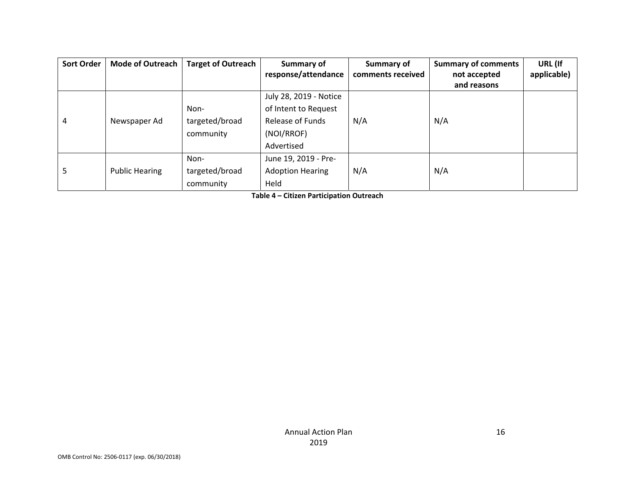| <b>Sort Order</b> | <b>Mode of Outreach</b> | <b>Target of Outreach</b> | <b>Summary of</b>       | Summary of        | <b>Summary of comments</b> | URL (If     |
|-------------------|-------------------------|---------------------------|-------------------------|-------------------|----------------------------|-------------|
|                   |                         |                           | response/attendance     | comments received | not accepted               | applicable) |
|                   |                         |                           |                         |                   | and reasons                |             |
|                   |                         |                           | July 28, 2019 - Notice  |                   |                            |             |
|                   |                         | Non-                      | of Intent to Request    |                   |                            |             |
| 4                 | Newspaper Ad            | targeted/broad            | Release of Funds        | N/A               | N/A                        |             |
|                   |                         | community                 | (NOI/RROF)              |                   |                            |             |
|                   |                         |                           | Advertised              |                   |                            |             |
|                   |                         | Non-                      | June 19, 2019 - Pre-    |                   |                            |             |
| 5                 | <b>Public Hearing</b>   | targeted/broad            | <b>Adoption Hearing</b> | N/A               | N/A                        |             |
|                   |                         | community                 | Held                    |                   |                            |             |

**Table 4 – Citizen Participation Outreach**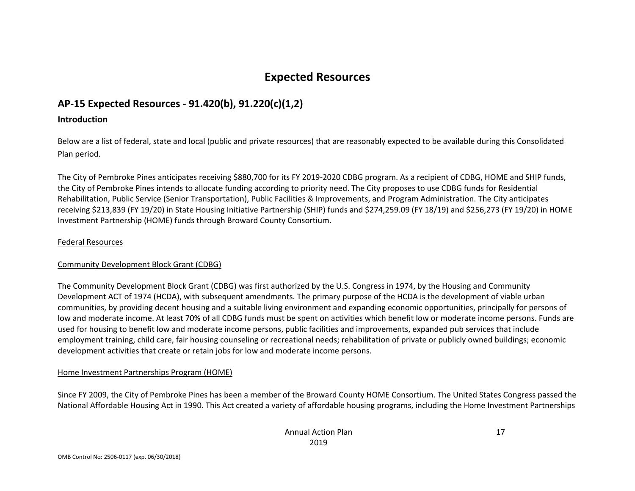# **Expected Resources**

# **AP‐15 Expected Resources ‐ 91.420(b), 91.220(c)(1,2)**

#### **Introduction**

Below are <sup>a</sup> list of federal, state and local (public and private resources) that are reasonably expected to be available during this Consolidated Plan period.

The City of Pembroke Pines anticipates receiving \$880,700 for its FY 2019‐2020 CDBG program. As <sup>a</sup> recipient of CDBG, HOME and SHIP funds, the City of Pembroke Pines intends to allocate funding according to priority need. The City proposes to use CDBG funds for Residential Rehabilitation, Public Service (Senior Transportation), Public Facilities & Improvements, and Program Administration. The City anticipates receiving \$213,839 (FY 19/20) in State Housing Initiative Partnership (SHIP) funds and \$274,259.09 (FY 18/19) and \$256,273 (FY 19/20) in HOME Investment Partnership (HOME) funds through Broward County Consortium.

#### Federal Resources

#### Community Development Block Grant (CDBG)

The Community Development Block Grant (CDBG) was first authorized by the U.S. Congress in 1974, by the Housing and Community Development ACT of 1974 (HCDA), with subsequent amendments. The primary purpose of the HCDA is the development of viable urban communities, by providing decent housing and <sup>a</sup> suitable living environment and expanding economic opportunities, principally for persons of low and moderate income. At least 70% of all CDBG funds must be spent on activities which benefit low or moderate income persons. Funds are used for housing to benefit low and moderate income persons, public facilities and improvements, expanded pub services that include employment training, child care, fair housing counseling or recreational needs; rehabilitation of private or publicly owned buildings; economic development activities that create or retain jobs for low and moderate income persons.

#### Home Investment Partnerships Program (HOME)

Since FY 2009, the City of Pembroke Pines has been <sup>a</sup> member of the Broward County HOME Consortium. The United States Congress passed the National Affordable Housing Act in 1990. This Act created <sup>a</sup> variety of affordable housing programs, including the Home Investment Partnerships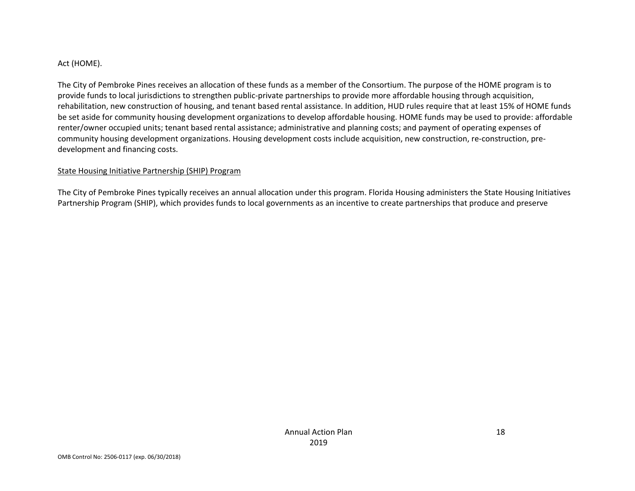#### Act (HOME).

The City of Pembroke Pines receives an allocation of these funds as <sup>a</sup> member of the Consortium. The purpose of the HOME program is to provide funds to local jurisdictions to strengthen public‐private partnerships to provide more affordable housing through acquisition, rehabilitation, new construction of housing, and tenant based rental assistance. In addition, HUD rules require that at least 15% of HOME funds be set aside for community housing development organizations to develop affordable housing. HOME funds may be used to provide: affordable renter/owner occupied units; tenant based rental assistance; administrative and planning costs; and payment of operating expenses of community housing development organizations. Housing development costs include acquisition, new construction, re‐construction, pre‐ development and financing costs.

#### State Housing Initiative Partnership (SHIP) Program

The City of Pembroke Pines typically receives an annual allocation under this program. Florida Housing administers the State Housing Initiatives Partnership Program (SHIP), which provides funds to local governments as an incentive to create partnerships that produce and preserve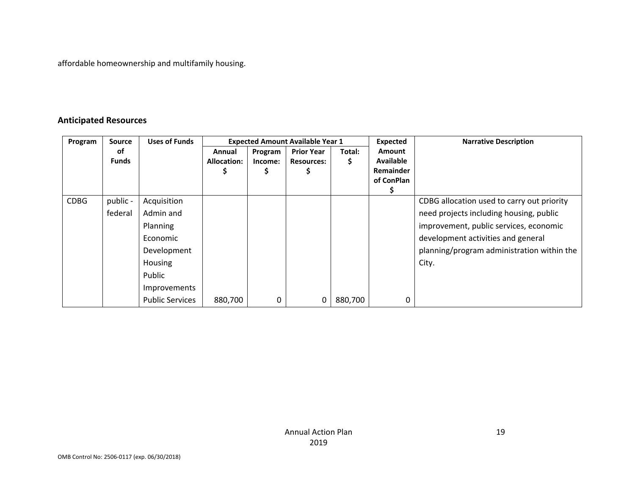affordable homeownership and multifamily housing.

#### **Anticipated Resources**

| Program     | <b>Source</b> | <b>Uses of Funds</b>   | <b>Expected Amount Available Year 1</b> |         |                   |         | <b>Expected</b>  | <b>Narrative Description</b>               |
|-------------|---------------|------------------------|-----------------------------------------|---------|-------------------|---------|------------------|--------------------------------------------|
|             | οf            |                        | Annual                                  | Program | <b>Prior Year</b> | Total:  | <b>Amount</b>    |                                            |
|             | <b>Funds</b>  |                        | <b>Allocation:</b>                      | Income: | <b>Resources:</b> | \$      | <b>Available</b> |                                            |
|             |               |                        |                                         | Ş       |                   |         | Remainder        |                                            |
|             |               |                        |                                         |         |                   |         | of ConPlan       |                                            |
|             |               |                        |                                         |         |                   |         |                  |                                            |
| <b>CDBG</b> | public -      | Acquisition            |                                         |         |                   |         |                  | CDBG allocation used to carry out priority |
|             | federal       | Admin and              |                                         |         |                   |         |                  | need projects including housing, public    |
|             |               | <b>Planning</b>        |                                         |         |                   |         |                  | improvement, public services, economic     |
|             |               | Economic               |                                         |         |                   |         |                  | development activities and general         |
|             |               | Development            |                                         |         |                   |         |                  | planning/program administration within the |
|             |               | <b>Housing</b>         |                                         |         |                   |         |                  | City.                                      |
|             |               | Public                 |                                         |         |                   |         |                  |                                            |
|             |               | Improvements           |                                         |         |                   |         |                  |                                            |
|             |               | <b>Public Services</b> | 880,700                                 | 0       |                   | 880,700 | 0                |                                            |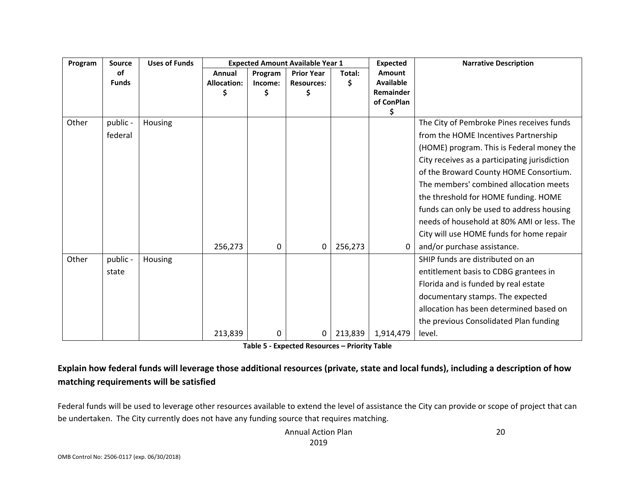| Program | <b>Source</b> | <b>Uses of Funds</b> |                    |          | <b>Expected Amount Available Year 1</b> |         | <b>Expected</b>  | <b>Narrative Description</b>                  |
|---------|---------------|----------------------|--------------------|----------|-----------------------------------------|---------|------------------|-----------------------------------------------|
|         | of            |                      | Annual             | Program  | <b>Prior Year</b>                       | Total:  | Amount           |                                               |
|         | <b>Funds</b>  |                      | <b>Allocation:</b> | Income:  | <b>Resources:</b>                       | \$      | <b>Available</b> |                                               |
|         |               |                      |                    | \$       |                                         |         | Remainder        |                                               |
|         |               |                      |                    |          |                                         |         | of ConPlan<br>\$ |                                               |
| Other   | public -      | Housing              |                    |          |                                         |         |                  | The City of Pembroke Pines receives funds     |
|         | federal       |                      |                    |          |                                         |         |                  | from the HOME Incentives Partnership          |
|         |               |                      |                    |          |                                         |         |                  | (HOME) program. This is Federal money the     |
|         |               |                      |                    |          |                                         |         |                  | City receives as a participating jurisdiction |
|         |               |                      |                    |          |                                         |         |                  | of the Broward County HOME Consortium.        |
|         |               |                      |                    |          |                                         |         |                  | The members' combined allocation meets        |
|         |               |                      |                    |          |                                         |         |                  | the threshold for HOME funding. HOME          |
|         |               |                      |                    |          |                                         |         |                  | funds can only be used to address housing     |
|         |               |                      |                    |          |                                         |         |                  | needs of household at 80% AMI or less. The    |
|         |               |                      |                    |          |                                         |         |                  | City will use HOME funds for home repair      |
|         |               |                      | 256,273            | $\Omega$ | 0                                       | 256,273 | $\Omega$         | and/or purchase assistance.                   |
| Other   | public -      | Housing              |                    |          |                                         |         |                  | SHIP funds are distributed on an              |
|         | state         |                      |                    |          |                                         |         |                  | entitlement basis to CDBG grantees in         |
|         |               |                      |                    |          |                                         |         |                  | Florida and is funded by real estate          |
|         |               |                      |                    |          |                                         |         |                  | documentary stamps. The expected              |
|         |               |                      |                    |          |                                         |         |                  | allocation has been determined based on       |
|         |               |                      |                    |          |                                         |         |                  | the previous Consolidated Plan funding        |
|         |               |                      | 213,839            | 0        | 0                                       | 213,839 | 1,914,479        | level.                                        |

**Table 5 ‐ Expected Resources – Priority Table**

# Explain how federal funds will leverage those additional resources (private, state and local funds), including a description of how **matching requirements will be satisfied**

Federal funds will be used to leverage other resources available to extend the level of assistance the City can provide or scope of project that can be undertaken. The City currently does not have any funding source that requires matching.

> Annual Action Plan 2019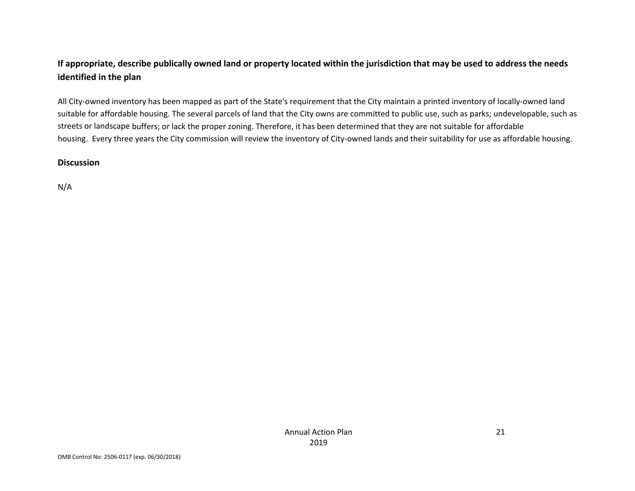# If appropriate, describe publically owned land or property located within the jurisdiction that may be used to address the needs **identified in the plan**

All City‐owned inventory has been mapped as part of the State's requirement that the City maintain <sup>a</sup> printed inventory of locally‐owned land suitable for affordable housing. The several parcels of land that the City owns are committed to public use, such as parks; undevelopable, such as streets or landscape buffers; or lack the proper zoning. Therefore, it has been determined that they are not suitable for affordable housing. Every three years the City commission will review the inventory of City-owned lands and their suitability for use as affordable housing.

#### **Discussion**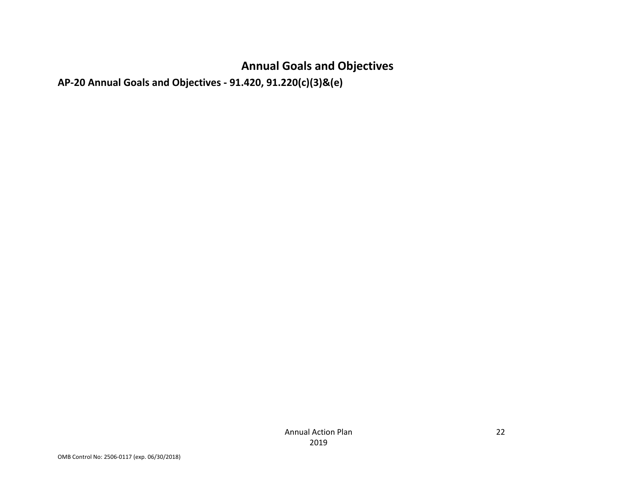# **Annual Goals and Objectives**

**AP‐20 Annual Goals and Objectives ‐ 91.420, 91.220(c)(3)&(e)**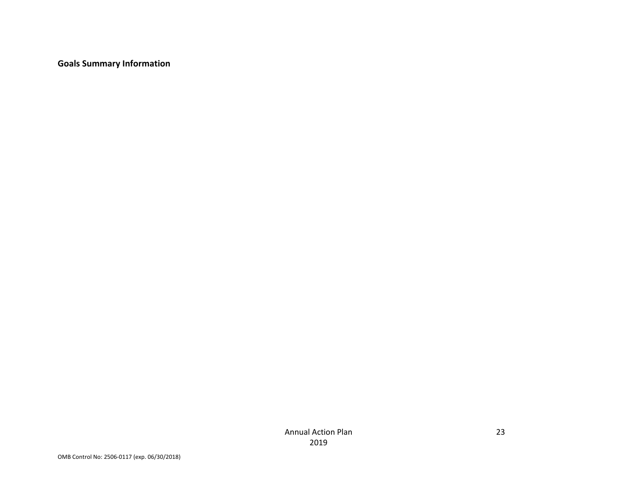**Goals Summary Information**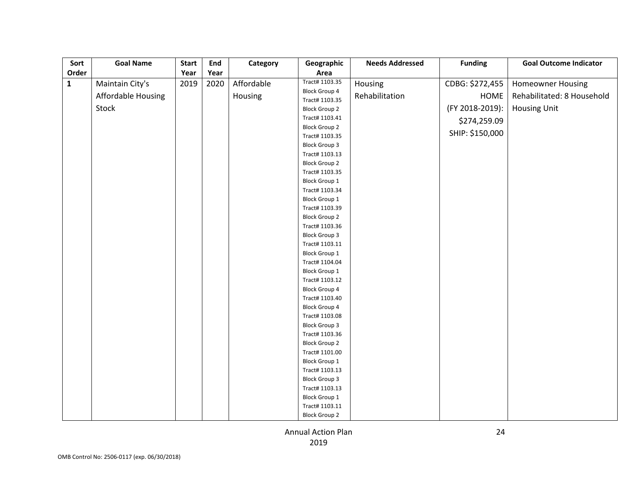| Sort         | <b>Goal Name</b>          | <b>Start</b> | End  | Category   | Geographic                             | <b>Needs Addressed</b> | <b>Funding</b>  | <b>Goal Outcome Indicator</b> |
|--------------|---------------------------|--------------|------|------------|----------------------------------------|------------------------|-----------------|-------------------------------|
| Order        |                           | Year         | Year |            | Area                                   |                        |                 |                               |
| $\mathbf{1}$ | Maintain City's           | 2019         | 2020 | Affordable | Tract# 1103.35                         | Housing                | CDBG: \$272,455 | <b>Homeowner Housing</b>      |
|              | <b>Affordable Housing</b> |              |      | Housing    | <b>Block Group 4</b><br>Tract# 1103.35 | Rehabilitation         | <b>HOME</b>     | Rehabilitated: 8 Household    |
|              | Stock                     |              |      |            | <b>Block Group 2</b>                   |                        | (FY 2018-2019): | <b>Housing Unit</b>           |
|              |                           |              |      |            | Tract# 1103.41                         |                        | \$274,259.09    |                               |
|              |                           |              |      |            | <b>Block Group 2</b>                   |                        |                 |                               |
|              |                           |              |      |            | Tract# 1103.35                         |                        | SHIP: \$150,000 |                               |
|              |                           |              |      |            | <b>Block Group 3</b>                   |                        |                 |                               |
|              |                           |              |      |            | Tract# 1103.13                         |                        |                 |                               |
|              |                           |              |      |            | <b>Block Group 2</b>                   |                        |                 |                               |
|              |                           |              |      |            | Tract# 1103.35                         |                        |                 |                               |
|              |                           |              |      |            | <b>Block Group 1</b>                   |                        |                 |                               |
|              |                           |              |      |            | Tract# 1103.34                         |                        |                 |                               |
|              |                           |              |      |            | Block Group 1                          |                        |                 |                               |
|              |                           |              |      |            | Tract# 1103.39                         |                        |                 |                               |
|              |                           |              |      |            | <b>Block Group 2</b>                   |                        |                 |                               |
|              |                           |              |      |            | Tract# 1103.36                         |                        |                 |                               |
|              |                           |              |      |            | <b>Block Group 3</b>                   |                        |                 |                               |
|              |                           |              |      |            | Tract# 1103.11                         |                        |                 |                               |
|              |                           |              |      |            | <b>Block Group 1</b>                   |                        |                 |                               |
|              |                           |              |      |            | Tract# 1104.04                         |                        |                 |                               |
|              |                           |              |      |            | <b>Block Group 1</b>                   |                        |                 |                               |
|              |                           |              |      |            | Tract# 1103.12                         |                        |                 |                               |
|              |                           |              |      |            | <b>Block Group 4</b>                   |                        |                 |                               |
|              |                           |              |      |            | Tract# 1103.40                         |                        |                 |                               |
|              |                           |              |      |            | <b>Block Group 4</b>                   |                        |                 |                               |
|              |                           |              |      |            | Tract# 1103.08                         |                        |                 |                               |
|              |                           |              |      |            | <b>Block Group 3</b>                   |                        |                 |                               |
|              |                           |              |      |            | Tract# 1103.36                         |                        |                 |                               |
|              |                           |              |      |            | <b>Block Group 2</b>                   |                        |                 |                               |
|              |                           |              |      |            | Tract# 1101.00                         |                        |                 |                               |
|              |                           |              |      |            | <b>Block Group 1</b>                   |                        |                 |                               |
|              |                           |              |      |            | Tract# 1103.13                         |                        |                 |                               |
|              |                           |              |      |            | <b>Block Group 3</b>                   |                        |                 |                               |
|              |                           |              |      |            | Tract# 1103.13                         |                        |                 |                               |
|              |                           |              |      |            | <b>Block Group 1</b><br>Tract# 1103.11 |                        |                 |                               |
|              |                           |              |      |            |                                        |                        |                 |                               |
|              |                           |              |      |            | <b>Block Group 2</b>                   |                        |                 |                               |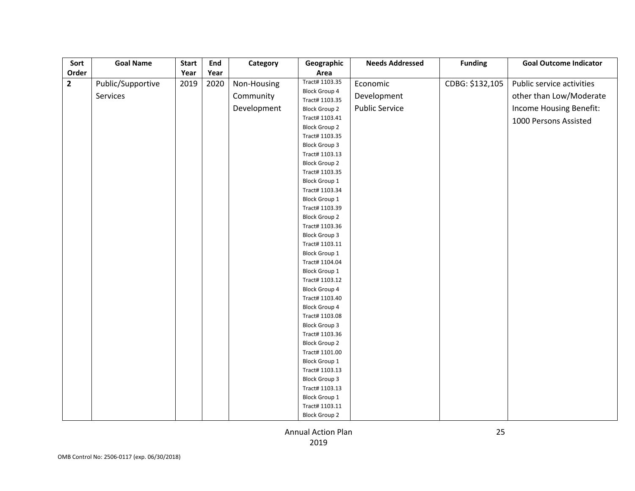| Sort           | <b>Goal Name</b>  | <b>Start</b> | End  | Category    | Geographic                             | <b>Needs Addressed</b> | <b>Funding</b>  | <b>Goal Outcome Indicator</b> |
|----------------|-------------------|--------------|------|-------------|----------------------------------------|------------------------|-----------------|-------------------------------|
| Order          |                   | Year         | Year |             | Area                                   |                        |                 |                               |
| $\overline{2}$ | Public/Supportive | 2019         | 2020 | Non-Housing | Tract# 1103.35                         | Economic               | CDBG: \$132,105 | Public service activities     |
|                | Services          |              |      | Community   | <b>Block Group 4</b><br>Tract# 1103.35 | Development            |                 | other than Low/Moderate       |
|                |                   |              |      | Development | <b>Block Group 2</b>                   | <b>Public Service</b>  |                 | Income Housing Benefit:       |
|                |                   |              |      |             | Tract# 1103.41                         |                        |                 | 1000 Persons Assisted         |
|                |                   |              |      |             | <b>Block Group 2</b>                   |                        |                 |                               |
|                |                   |              |      |             | Tract# 1103.35                         |                        |                 |                               |
|                |                   |              |      |             | <b>Block Group 3</b>                   |                        |                 |                               |
|                |                   |              |      |             | Tract# 1103.13                         |                        |                 |                               |
|                |                   |              |      |             | <b>Block Group 2</b>                   |                        |                 |                               |
|                |                   |              |      |             | Tract# 1103.35                         |                        |                 |                               |
|                |                   |              |      |             | <b>Block Group 1</b>                   |                        |                 |                               |
|                |                   |              |      |             | Tract# 1103.34                         |                        |                 |                               |
|                |                   |              |      |             | <b>Block Group 1</b>                   |                        |                 |                               |
|                |                   |              |      |             | Tract# 1103.39                         |                        |                 |                               |
|                |                   |              |      |             | <b>Block Group 2</b>                   |                        |                 |                               |
|                |                   |              |      |             | Tract# 1103.36                         |                        |                 |                               |
|                |                   |              |      |             | <b>Block Group 3</b>                   |                        |                 |                               |
|                |                   |              |      |             | Tract# 1103.11                         |                        |                 |                               |
|                |                   |              |      |             | <b>Block Group 1</b>                   |                        |                 |                               |
|                |                   |              |      |             | Tract# 1104.04                         |                        |                 |                               |
|                |                   |              |      |             | <b>Block Group 1</b>                   |                        |                 |                               |
|                |                   |              |      |             | Tract# 1103.12<br><b>Block Group 4</b> |                        |                 |                               |
|                |                   |              |      |             | Tract# 1103.40                         |                        |                 |                               |
|                |                   |              |      |             | <b>Block Group 4</b>                   |                        |                 |                               |
|                |                   |              |      |             | Tract# 1103.08                         |                        |                 |                               |
|                |                   |              |      |             | <b>Block Group 3</b>                   |                        |                 |                               |
|                |                   |              |      |             | Tract# 1103.36                         |                        |                 |                               |
|                |                   |              |      |             | <b>Block Group 2</b>                   |                        |                 |                               |
|                |                   |              |      |             | Tract# 1101.00                         |                        |                 |                               |
|                |                   |              |      |             | <b>Block Group 1</b>                   |                        |                 |                               |
|                |                   |              |      |             | Tract# 1103.13                         |                        |                 |                               |
|                |                   |              |      |             | <b>Block Group 3</b>                   |                        |                 |                               |
|                |                   |              |      |             | Tract# 1103.13                         |                        |                 |                               |
|                |                   |              |      |             | Block Group 1                          |                        |                 |                               |
|                |                   |              |      |             | Tract# 1103.11                         |                        |                 |                               |
|                |                   |              |      |             | <b>Block Group 2</b>                   |                        |                 |                               |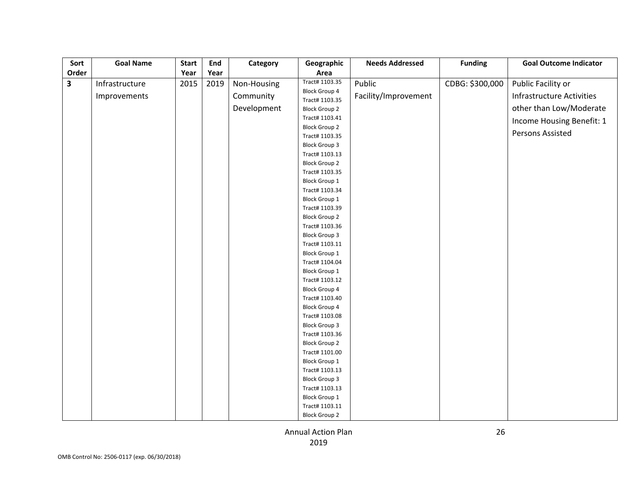| Sort                    | <b>Goal Name</b> | <b>Start</b> | End  | Category    | Geographic                             | <b>Needs Addressed</b> | <b>Funding</b>  | <b>Goal Outcome Indicator</b>    |
|-------------------------|------------------|--------------|------|-------------|----------------------------------------|------------------------|-----------------|----------------------------------|
| Order                   |                  | Year         | Year |             | Area                                   |                        |                 |                                  |
| $\overline{\mathbf{3}}$ | Infrastructure   | 2015         | 2019 | Non-Housing | Tract# 1103.35                         | Public                 | CDBG: \$300,000 | Public Facility or               |
|                         | Improvements     |              |      | Community   | <b>Block Group 4</b><br>Tract# 1103.35 | Facility/Improvement   |                 | <b>Infrastructure Activities</b> |
|                         |                  |              |      | Development | <b>Block Group 2</b>                   |                        |                 | other than Low/Moderate          |
|                         |                  |              |      |             | Tract# 1103.41                         |                        |                 | Income Housing Benefit: 1        |
|                         |                  |              |      |             | <b>Block Group 2</b>                   |                        |                 |                                  |
|                         |                  |              |      |             | Tract# 1103.35                         |                        |                 | Persons Assisted                 |
|                         |                  |              |      |             | <b>Block Group 3</b>                   |                        |                 |                                  |
|                         |                  |              |      |             | Tract# 1103.13                         |                        |                 |                                  |
|                         |                  |              |      |             | <b>Block Group 2</b>                   |                        |                 |                                  |
|                         |                  |              |      |             | Tract# 1103.35                         |                        |                 |                                  |
|                         |                  |              |      |             | <b>Block Group 1</b>                   |                        |                 |                                  |
|                         |                  |              |      |             | Tract# 1103.34                         |                        |                 |                                  |
|                         |                  |              |      |             | <b>Block Group 1</b>                   |                        |                 |                                  |
|                         |                  |              |      |             | Tract# 1103.39                         |                        |                 |                                  |
|                         |                  |              |      |             | <b>Block Group 2</b>                   |                        |                 |                                  |
|                         |                  |              |      |             | Tract# 1103.36                         |                        |                 |                                  |
|                         |                  |              |      |             | <b>Block Group 3</b>                   |                        |                 |                                  |
|                         |                  |              |      |             | Tract# 1103.11                         |                        |                 |                                  |
|                         |                  |              |      |             | <b>Block Group 1</b>                   |                        |                 |                                  |
|                         |                  |              |      |             | Tract# 1104.04                         |                        |                 |                                  |
|                         |                  |              |      |             | <b>Block Group 1</b>                   |                        |                 |                                  |
|                         |                  |              |      |             | Tract# 1103.12                         |                        |                 |                                  |
|                         |                  |              |      |             | <b>Block Group 4</b>                   |                        |                 |                                  |
|                         |                  |              |      |             | Tract# 1103.40                         |                        |                 |                                  |
|                         |                  |              |      |             | <b>Block Group 4</b>                   |                        |                 |                                  |
|                         |                  |              |      |             | Tract# 1103.08                         |                        |                 |                                  |
|                         |                  |              |      |             | <b>Block Group 3</b>                   |                        |                 |                                  |
|                         |                  |              |      |             | Tract# 1103.36                         |                        |                 |                                  |
|                         |                  |              |      |             | <b>Block Group 2</b>                   |                        |                 |                                  |
|                         |                  |              |      |             | Tract# 1101.00                         |                        |                 |                                  |
|                         |                  |              |      |             | <b>Block Group 1</b>                   |                        |                 |                                  |
|                         |                  |              |      |             | Tract# 1103.13                         |                        |                 |                                  |
|                         |                  |              |      |             | <b>Block Group 3</b>                   |                        |                 |                                  |
|                         |                  |              |      |             | Tract# 1103.13                         |                        |                 |                                  |
|                         |                  |              |      |             | <b>Block Group 1</b>                   |                        |                 |                                  |
|                         |                  |              |      |             | Tract# 1103.11                         |                        |                 |                                  |
|                         |                  |              |      |             | <b>Block Group 2</b>                   |                        |                 |                                  |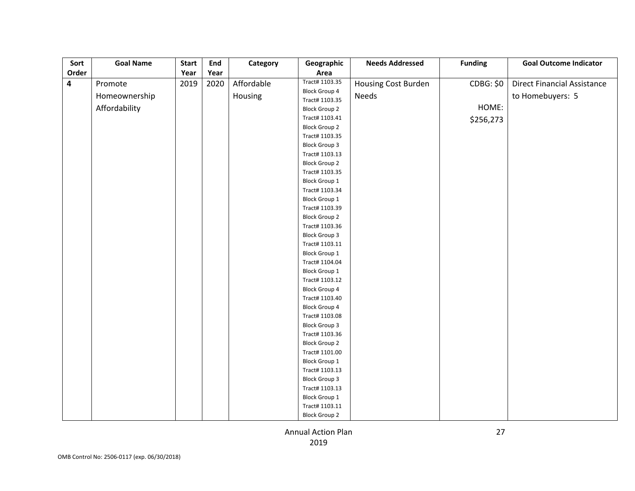| Sort                    | <b>Goal Name</b> | <b>Start</b> | <b>End</b> | Category   | Geographic                             | <b>Needs Addressed</b> | <b>Funding</b>   | <b>Goal Outcome Indicator</b>      |
|-------------------------|------------------|--------------|------------|------------|----------------------------------------|------------------------|------------------|------------------------------------|
| Order                   |                  | Year         | Year       |            | Area                                   |                        |                  |                                    |
| $\overline{\mathbf{4}}$ | Promote          | 2019         | 2020       | Affordable | Tract# 1103.35                         | Housing Cost Burden    | <b>CDBG: \$0</b> | <b>Direct Financial Assistance</b> |
|                         | Homeownership    |              |            | Housing    | <b>Block Group 4</b>                   | Needs                  |                  | to Homebuyers: 5                   |
|                         |                  |              |            |            | Tract# 1103.35                         |                        | HOME:            |                                    |
|                         | Affordability    |              |            |            | <b>Block Group 2</b>                   |                        |                  |                                    |
|                         |                  |              |            |            | Tract# 1103.41                         |                        | \$256,273        |                                    |
|                         |                  |              |            |            | <b>Block Group 2</b>                   |                        |                  |                                    |
|                         |                  |              |            |            | Tract# 1103.35                         |                        |                  |                                    |
|                         |                  |              |            |            | <b>Block Group 3</b>                   |                        |                  |                                    |
|                         |                  |              |            |            | Tract# 1103.13                         |                        |                  |                                    |
|                         |                  |              |            |            | <b>Block Group 2</b>                   |                        |                  |                                    |
|                         |                  |              |            |            | Tract# 1103.35                         |                        |                  |                                    |
|                         |                  |              |            |            | <b>Block Group 1</b>                   |                        |                  |                                    |
|                         |                  |              |            |            | Tract# 1103.34                         |                        |                  |                                    |
|                         |                  |              |            |            | <b>Block Group 1</b>                   |                        |                  |                                    |
|                         |                  |              |            |            | Tract# 1103.39                         |                        |                  |                                    |
|                         |                  |              |            |            | <b>Block Group 2</b>                   |                        |                  |                                    |
|                         |                  |              |            |            | Tract# 1103.36                         |                        |                  |                                    |
|                         |                  |              |            |            | <b>Block Group 3</b>                   |                        |                  |                                    |
|                         |                  |              |            |            | Tract# 1103.11                         |                        |                  |                                    |
|                         |                  |              |            |            | <b>Block Group 1</b>                   |                        |                  |                                    |
|                         |                  |              |            |            | Tract# 1104.04                         |                        |                  |                                    |
|                         |                  |              |            |            | <b>Block Group 1</b>                   |                        |                  |                                    |
|                         |                  |              |            |            | Tract# 1103.12                         |                        |                  |                                    |
|                         |                  |              |            |            | <b>Block Group 4</b><br>Tract# 1103.40 |                        |                  |                                    |
|                         |                  |              |            |            | <b>Block Group 4</b>                   |                        |                  |                                    |
|                         |                  |              |            |            | Tract# 1103.08                         |                        |                  |                                    |
|                         |                  |              |            |            | <b>Block Group 3</b>                   |                        |                  |                                    |
|                         |                  |              |            |            | Tract# 1103.36                         |                        |                  |                                    |
|                         |                  |              |            |            | <b>Block Group 2</b>                   |                        |                  |                                    |
|                         |                  |              |            |            | Tract# 1101.00                         |                        |                  |                                    |
|                         |                  |              |            |            | <b>Block Group 1</b>                   |                        |                  |                                    |
|                         |                  |              |            |            | Tract# 1103.13                         |                        |                  |                                    |
|                         |                  |              |            |            | <b>Block Group 3</b>                   |                        |                  |                                    |
|                         |                  |              |            |            | Tract# 1103.13                         |                        |                  |                                    |
|                         |                  |              |            |            | Block Group 1                          |                        |                  |                                    |
|                         |                  |              |            |            | Tract# 1103.11                         |                        |                  |                                    |
|                         |                  |              |            |            | <b>Block Group 2</b>                   |                        |                  |                                    |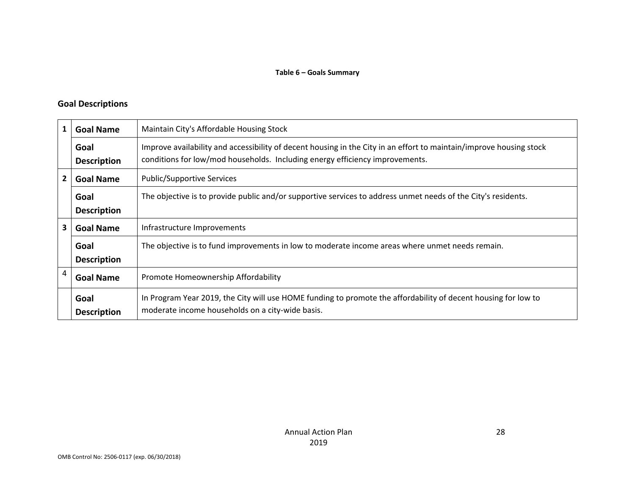#### **Goal Descriptions**

|                                                            | <b>Goal Name</b>           | Maintain City's Affordable Housing Stock                                                                                                                                                            |
|------------------------------------------------------------|----------------------------|-----------------------------------------------------------------------------------------------------------------------------------------------------------------------------------------------------|
|                                                            | Goal<br><b>Description</b> | Improve availability and accessibility of decent housing in the City in an effort to maintain/improve housing stock<br>conditions for low/mod households. Including energy efficiency improvements. |
| <b>Public/Supportive Services</b><br>2<br><b>Goal Name</b> |                            |                                                                                                                                                                                                     |
|                                                            | Goal<br><b>Description</b> | The objective is to provide public and/or supportive services to address unmet needs of the City's residents.                                                                                       |
| 3                                                          | <b>Goal Name</b>           | Infrastructure Improvements                                                                                                                                                                         |
|                                                            | Goal<br><b>Description</b> | The objective is to fund improvements in low to moderate income areas where unmet needs remain.                                                                                                     |
| 4                                                          | <b>Goal Name</b>           | Promote Homeownership Affordability                                                                                                                                                                 |
|                                                            | Goal<br><b>Description</b> | In Program Year 2019, the City will use HOME funding to promote the affordability of decent housing for low to<br>moderate income households on a city-wide basis.                                  |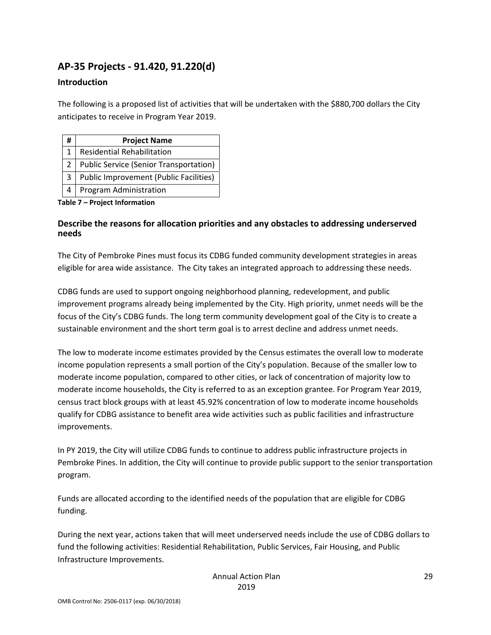# **AP‐35 Projects ‐ 91.420, 91.220(d)**

#### **Introduction**

The following is a proposed list of activities that will be undertaken with the \$880,700 dollars the City anticipates to receive in Program Year 2019.

| # | <b>Project Name</b>                           |
|---|-----------------------------------------------|
|   | <b>Residential Rehabilitation</b>             |
|   | Public Service (Senior Transportation)        |
| 3 | <b>Public Improvement (Public Facilities)</b> |
|   | Program Administration                        |

#### **Table 7 – Project Information**

#### **Describe the reasons for allocation priorities and any obstacles to addressing underserved needs**

The City of Pembroke Pines must focus its CDBG funded community development strategies in areas eligible for area wide assistance. The City takes an integrated approach to addressing these needs.

CDBG funds are used to support ongoing neighborhood planning, redevelopment, and public improvement programs already being implemented by the City. High priority, unmet needs will be the focus of the City's CDBG funds. The long term community development goal of the City is to create a sustainable environment and the short term goal is to arrest decline and address unmet needs.

The low to moderate income estimates provided by the Census estimates the overall low to moderate income population represents a small portion of the City's population. Because of the smaller low to moderate income population, compared to other cities, or lack of concentration of majority low to moderate income households, the City is referred to as an exception grantee. For Program Year 2019, census tract block groups with at least 45.92% concentration of low to moderate income households qualify for CDBG assistance to benefit area wide activities such as public facilities and infrastructure improvements.

In PY 2019, the City will utilize CDBG funds to continue to address public infrastructure projects in Pembroke Pines. In addition, the City will continue to provide public support to the senior transportation program.

Funds are allocated according to the identified needs of the population that are eligible for CDBG funding.

During the next year, actions taken that will meet underserved needs include the use of CDBG dollars to fund the following activities: Residential Rehabilitation, Public Services, Fair Housing, and Public Infrastructure Improvements.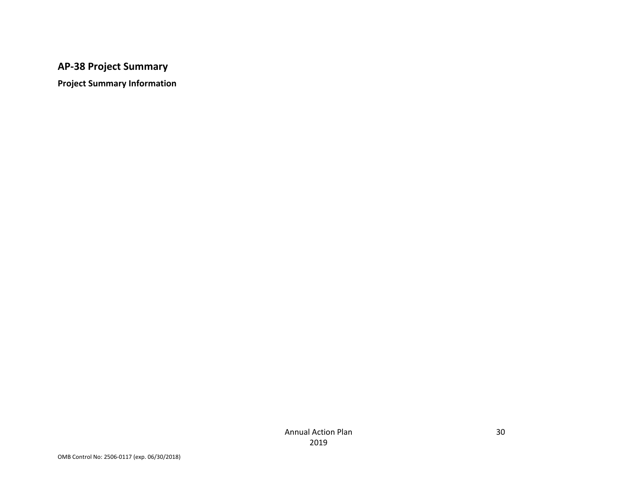### **AP‐38 Project Summary**

**Project Summary Information**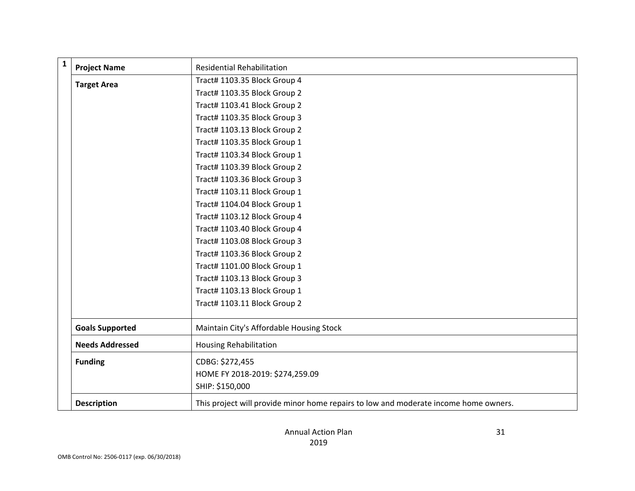| $\mathbf{1}$ | <b>Project Name</b>    | <b>Residential Rehabilitation</b>                                                    |
|--------------|------------------------|--------------------------------------------------------------------------------------|
|              | <b>Target Area</b>     | Tract# 1103.35 Block Group 4                                                         |
|              |                        | Tract# 1103.35 Block Group 2                                                         |
|              |                        | Tract# 1103.41 Block Group 2                                                         |
|              |                        | Tract# 1103.35 Block Group 3                                                         |
|              |                        | Tract# 1103.13 Block Group 2                                                         |
|              |                        | Tract# 1103.35 Block Group 1                                                         |
|              |                        | Tract# 1103.34 Block Group 1                                                         |
|              |                        | Tract# 1103.39 Block Group 2                                                         |
|              |                        | Tract# 1103.36 Block Group 3                                                         |
|              |                        | Tract# 1103.11 Block Group 1                                                         |
|              |                        | Tract# 1104.04 Block Group 1                                                         |
|              |                        | Tract# 1103.12 Block Group 4                                                         |
|              |                        | Tract# 1103.40 Block Group 4                                                         |
|              |                        | Tract# 1103.08 Block Group 3                                                         |
|              |                        | Tract# 1103.36 Block Group 2                                                         |
|              |                        | Tract# 1101.00 Block Group 1                                                         |
|              |                        | Tract# 1103.13 Block Group 3                                                         |
|              |                        | Tract# 1103.13 Block Group 1                                                         |
|              |                        | Tract# 1103.11 Block Group 2                                                         |
|              | <b>Goals Supported</b> | Maintain City's Affordable Housing Stock                                             |
|              | <b>Needs Addressed</b> | <b>Housing Rehabilitation</b>                                                        |
|              | <b>Funding</b>         | CDBG: \$272,455                                                                      |
|              |                        | HOME FY 2018-2019: \$274,259.09                                                      |
|              |                        | SHIP: \$150,000                                                                      |
|              | <b>Description</b>     | This project will provide minor home repairs to low and moderate income home owners. |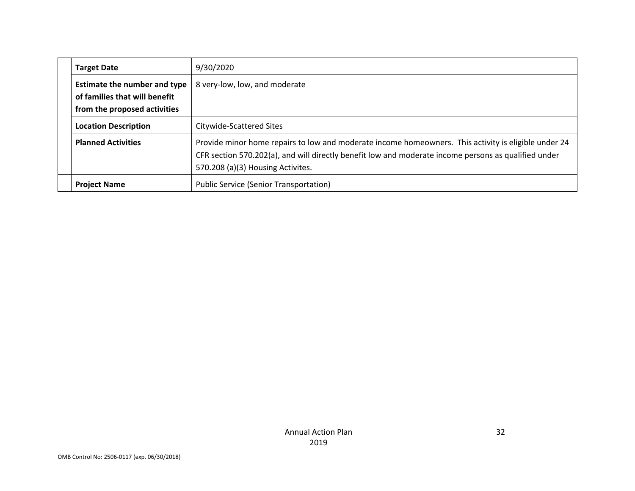|  | <b>Target Date</b>                                                                                   | 9/30/2020                                                                                                                                                                                                                                         |
|--|------------------------------------------------------------------------------------------------------|---------------------------------------------------------------------------------------------------------------------------------------------------------------------------------------------------------------------------------------------------|
|  | <b>Estimate the number and type</b><br>of families that will benefit<br>from the proposed activities | 8 very-low, low, and moderate                                                                                                                                                                                                                     |
|  | <b>Location Description</b>                                                                          | Citywide-Scattered Sites                                                                                                                                                                                                                          |
|  | <b>Planned Activities</b>                                                                            | Provide minor home repairs to low and moderate income homeowners. This activity is eligible under 24<br>CFR section 570.202(a), and will directly benefit low and moderate income persons as qualified under<br>570.208 (a)(3) Housing Activites. |
|  | <b>Project Name</b>                                                                                  | <b>Public Service (Senior Transportation)</b>                                                                                                                                                                                                     |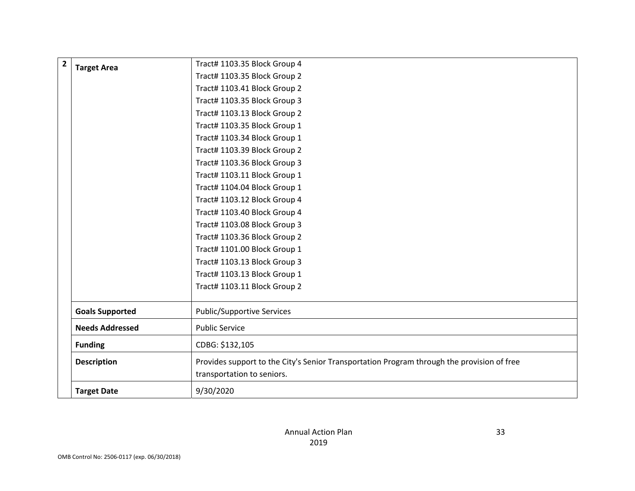| $\overline{2}$ | <b>Target Area</b>     | Tract# 1103.35 Block Group 4                                                               |
|----------------|------------------------|--------------------------------------------------------------------------------------------|
|                |                        | Tract# 1103.35 Block Group 2                                                               |
|                |                        | Tract# 1103.41 Block Group 2                                                               |
|                |                        | Tract# 1103.35 Block Group 3                                                               |
|                |                        | Tract# 1103.13 Block Group 2                                                               |
|                |                        | Tract# 1103.35 Block Group 1                                                               |
|                |                        | Tract# 1103.34 Block Group 1                                                               |
|                |                        | Tract# 1103.39 Block Group 2                                                               |
|                |                        | Tract# 1103.36 Block Group 3                                                               |
|                |                        | Tract# 1103.11 Block Group 1                                                               |
|                |                        | Tract# 1104.04 Block Group 1                                                               |
|                |                        | Tract# 1103.12 Block Group 4                                                               |
|                |                        | Tract# 1103.40 Block Group 4                                                               |
|                |                        | Tract# 1103.08 Block Group 3                                                               |
|                |                        | Tract# 1103.36 Block Group 2                                                               |
|                |                        | Tract# 1101.00 Block Group 1                                                               |
|                |                        | Tract# 1103.13 Block Group 3                                                               |
|                |                        | Tract# 1103.13 Block Group 1                                                               |
|                |                        | Tract# 1103.11 Block Group 2                                                               |
|                | <b>Goals Supported</b> | <b>Public/Supportive Services</b>                                                          |
|                | <b>Needs Addressed</b> | <b>Public Service</b>                                                                      |
|                | <b>Funding</b>         | CDBG: \$132,105                                                                            |
|                | <b>Description</b>     | Provides support to the City's Senior Transportation Program through the provision of free |
|                |                        | transportation to seniors.                                                                 |
|                | <b>Target Date</b>     | 9/30/2020                                                                                  |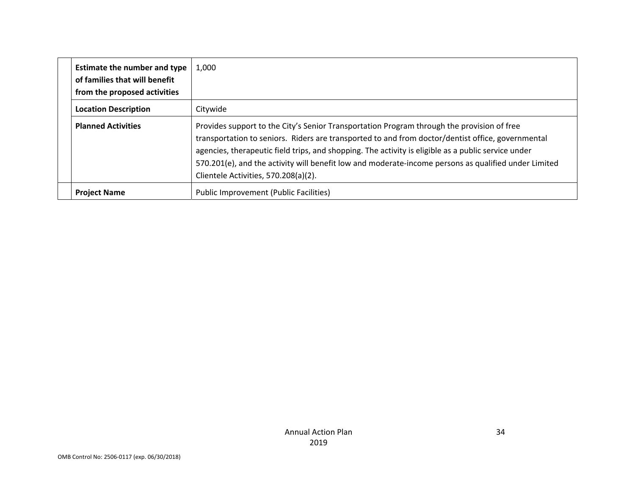|  | <b>Estimate the number and type</b><br>of families that will benefit<br>from the proposed activities | 1,000                                                                                                                                                                                                                                                                                                                                                                                                                                                  |
|--|------------------------------------------------------------------------------------------------------|--------------------------------------------------------------------------------------------------------------------------------------------------------------------------------------------------------------------------------------------------------------------------------------------------------------------------------------------------------------------------------------------------------------------------------------------------------|
|  | <b>Location Description</b>                                                                          | Citywide                                                                                                                                                                                                                                                                                                                                                                                                                                               |
|  | <b>Planned Activities</b>                                                                            | Provides support to the City's Senior Transportation Program through the provision of free<br>transportation to seniors. Riders are transported to and from doctor/dentist office, governmental<br>agencies, therapeutic field trips, and shopping. The activity is eligible as a public service under<br>570.201(e), and the activity will benefit low and moderate-income persons as qualified under Limited<br>Clientele Activities, 570.208(a)(2). |
|  | <b>Project Name</b>                                                                                  | Public Improvement (Public Facilities)                                                                                                                                                                                                                                                                                                                                                                                                                 |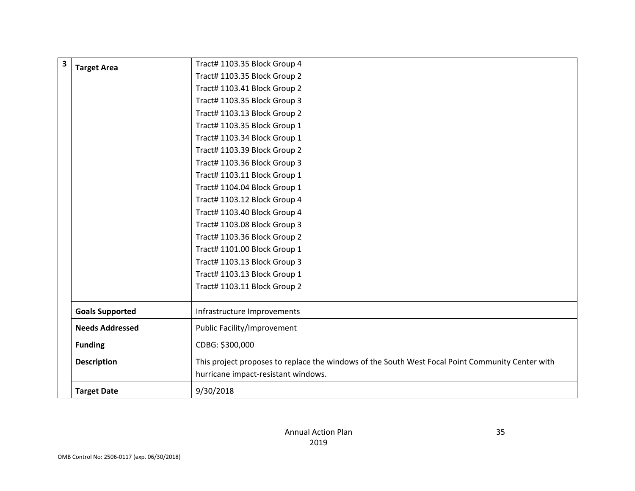| <b>Target Area</b>     | Tract# 1103.35 Block Group 4                                                                     |
|------------------------|--------------------------------------------------------------------------------------------------|
|                        | Tract# 1103.35 Block Group 2                                                                     |
|                        | Tract# 1103.41 Block Group 2                                                                     |
|                        | Tract# 1103.35 Block Group 3                                                                     |
|                        | Tract# 1103.13 Block Group 2                                                                     |
|                        | Tract# 1103.35 Block Group 1                                                                     |
|                        | Tract# 1103.34 Block Group 1                                                                     |
|                        | Tract# 1103.39 Block Group 2                                                                     |
|                        | Tract# 1103.36 Block Group 3                                                                     |
|                        | Tract# 1103.11 Block Group 1                                                                     |
|                        | Tract# 1104.04 Block Group 1                                                                     |
|                        | Tract# 1103.12 Block Group 4                                                                     |
|                        | Tract# 1103.40 Block Group 4                                                                     |
|                        | Tract# 1103.08 Block Group 3                                                                     |
|                        | Tract# 1103.36 Block Group 2                                                                     |
|                        | Tract# 1101.00 Block Group 1                                                                     |
|                        | Tract# 1103.13 Block Group 3                                                                     |
|                        | Tract# 1103.13 Block Group 1                                                                     |
|                        | Tract# 1103.11 Block Group 2                                                                     |
| <b>Goals Supported</b> | Infrastructure Improvements                                                                      |
| <b>Needs Addressed</b> | <b>Public Facility/Improvement</b>                                                               |
| <b>Funding</b>         | CDBG: \$300,000                                                                                  |
|                        |                                                                                                  |
| <b>Description</b>     | This project proposes to replace the windows of the South West Focal Point Community Center with |
|                        | hurricane impact-resistant windows.                                                              |
|                        |                                                                                                  |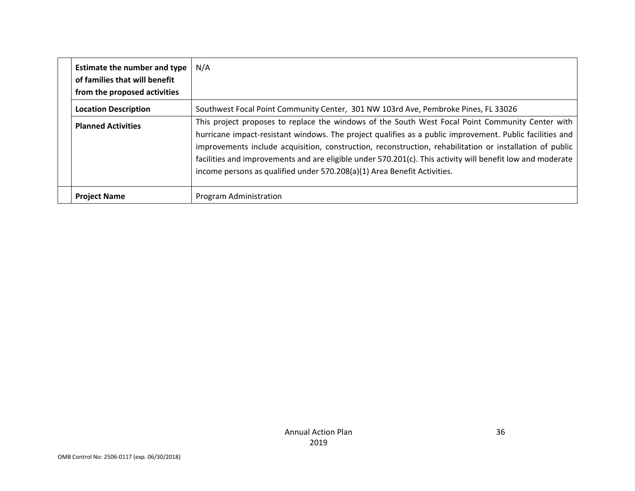|  | <b>Estimate the number and type</b><br>of families that will benefit<br>from the proposed activities | N/A                                                                                                                                                                                                                                                                                                                                                                                                                                                                                                                |
|--|------------------------------------------------------------------------------------------------------|--------------------------------------------------------------------------------------------------------------------------------------------------------------------------------------------------------------------------------------------------------------------------------------------------------------------------------------------------------------------------------------------------------------------------------------------------------------------------------------------------------------------|
|  | <b>Location Description</b>                                                                          | Southwest Focal Point Community Center, 301 NW 103rd Ave, Pembroke Pines, FL 33026                                                                                                                                                                                                                                                                                                                                                                                                                                 |
|  | <b>Planned Activities</b>                                                                            | This project proposes to replace the windows of the South West Focal Point Community Center with<br>hurricane impact-resistant windows. The project qualifies as a public improvement. Public facilities and<br>improvements include acquisition, construction, reconstruction, rehabilitation or installation of public<br>facilities and improvements and are eligible under 570.201(c). This activity will benefit low and moderate<br>income persons as qualified under 570.208(a)(1) Area Benefit Activities. |
|  | <b>Project Name</b>                                                                                  | Program Administration                                                                                                                                                                                                                                                                                                                                                                                                                                                                                             |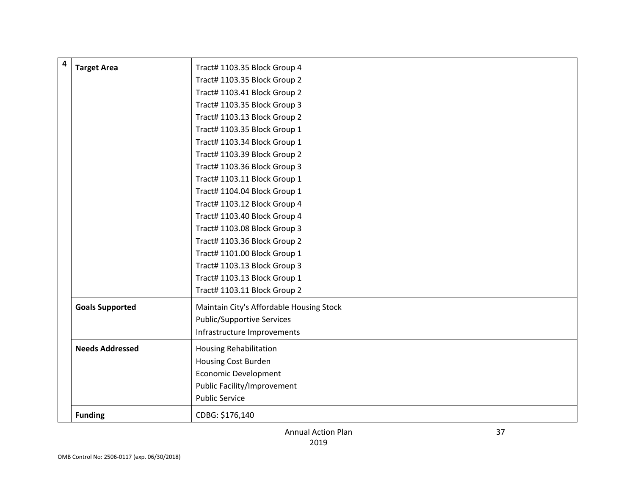| 4 | <b>Target Area</b>     | Tract# 1103.35 Block Group 4             |
|---|------------------------|------------------------------------------|
|   |                        | Tract# 1103.35 Block Group 2             |
|   |                        | Tract# 1103.41 Block Group 2             |
|   |                        | Tract# 1103.35 Block Group 3             |
|   |                        | Tract# 1103.13 Block Group 2             |
|   |                        | Tract# 1103.35 Block Group 1             |
|   |                        | Tract# 1103.34 Block Group 1             |
|   |                        | Tract# 1103.39 Block Group 2             |
|   |                        | Tract# 1103.36 Block Group 3             |
|   |                        | Tract# 1103.11 Block Group 1             |
|   |                        | Tract# 1104.04 Block Group 1             |
|   |                        | Tract# 1103.12 Block Group 4             |
|   |                        | Tract# 1103.40 Block Group 4             |
|   |                        | Tract# 1103.08 Block Group 3             |
|   |                        | Tract# 1103.36 Block Group 2             |
|   |                        | Tract# 1101.00 Block Group 1             |
|   |                        | Tract# 1103.13 Block Group 3             |
|   |                        | Tract# 1103.13 Block Group 1             |
|   |                        | Tract# 1103.11 Block Group 2             |
|   | <b>Goals Supported</b> | Maintain City's Affordable Housing Stock |
|   |                        | <b>Public/Supportive Services</b>        |
|   |                        | Infrastructure Improvements              |
|   | <b>Needs Addressed</b> | <b>Housing Rehabilitation</b>            |
|   |                        | Housing Cost Burden                      |
|   |                        | <b>Economic Development</b>              |
|   |                        | <b>Public Facility/Improvement</b>       |
|   |                        | <b>Public Service</b>                    |
|   | <b>Funding</b>         | CDBG: \$176,140                          |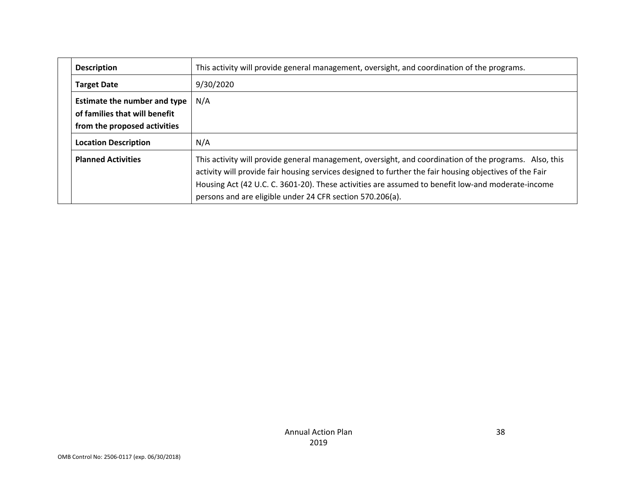| <b>Description</b>                                                                                   | This activity will provide general management, oversight, and coordination of the programs.                                                                                                                                                                                                                                                                                         |
|------------------------------------------------------------------------------------------------------|-------------------------------------------------------------------------------------------------------------------------------------------------------------------------------------------------------------------------------------------------------------------------------------------------------------------------------------------------------------------------------------|
| <b>Target Date</b>                                                                                   | 9/30/2020                                                                                                                                                                                                                                                                                                                                                                           |
| <b>Estimate the number and type</b><br>of families that will benefit<br>from the proposed activities | N/A                                                                                                                                                                                                                                                                                                                                                                                 |
| <b>Location Description</b>                                                                          | N/A                                                                                                                                                                                                                                                                                                                                                                                 |
| <b>Planned Activities</b>                                                                            | This activity will provide general management, oversight, and coordination of the programs. Also, this<br>activity will provide fair housing services designed to further the fair housing objectives of the Fair<br>Housing Act (42 U.C. C. 3601-20). These activities are assumed to benefit low-and moderate-income<br>persons and are eligible under 24 CFR section 570.206(a). |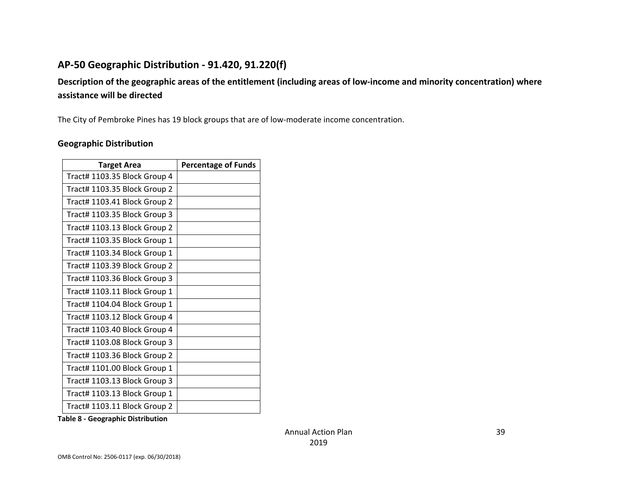# **AP‐50 Geographic Distribution ‐ 91.420, 91.220(f)**

# Description of the geographic areas of the entitlement (including areas of low-income and minority concentration) where **assistance will be directed**

The City of Pembroke Pines has 19 block groups that are of low‐moderate income concentration.

#### **Geographic Distribution**

| <b>Target Area</b>           | <b>Percentage of Funds</b> |
|------------------------------|----------------------------|
| Tract# 1103.35 Block Group 4 |                            |
| Tract# 1103.35 Block Group 2 |                            |
| Tract# 1103.41 Block Group 2 |                            |
| Tract# 1103.35 Block Group 3 |                            |
| Tract# 1103.13 Block Group 2 |                            |
| Tract# 1103.35 Block Group 1 |                            |
| Tract# 1103.34 Block Group 1 |                            |
| Tract# 1103.39 Block Group 2 |                            |
| Tract# 1103.36 Block Group 3 |                            |
| Tract# 1103.11 Block Group 1 |                            |
| Tract# 1104.04 Block Group 1 |                            |
| Tract# 1103.12 Block Group 4 |                            |
| Tract# 1103.40 Block Group 4 |                            |
| Tract# 1103.08 Block Group 3 |                            |
| Tract# 1103.36 Block Group 2 |                            |
| Tract# 1101.00 Block Group 1 |                            |
| Tract# 1103.13 Block Group 3 |                            |
| Tract# 1103.13 Block Group 1 |                            |
| Tract# 1103.11 Block Group 2 |                            |

**Table 8 ‐ Geographic Distribution**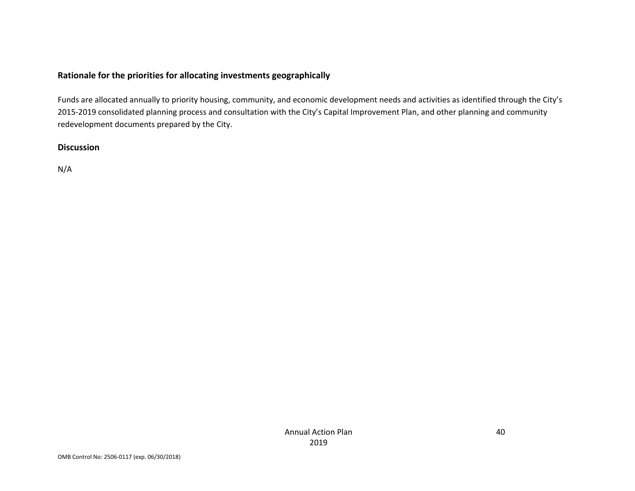#### **Rationale for the priorities for allocating investments geographically**

Funds are allocated annually to priority housing, community, and economic development needs and activities as identified through the City's 2015‐2019 consolidated planning process and consultation with the City's Capital Improvement Plan, and other planning and community redevelopment documents prepared by the City.

#### **Discussion**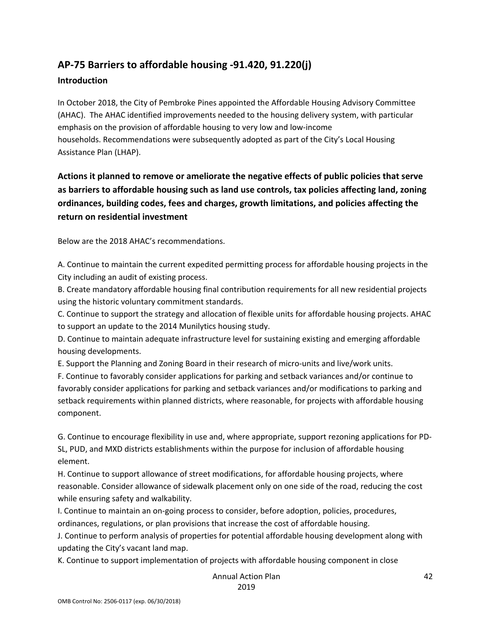# **AP‐75 Barriers to affordable housing ‐91.420, 91.220(j)**

#### **Introduction**

In October 2018, the City of Pembroke Pines appointed the Affordable Housing Advisory Committee (AHAC). The AHAC identified improvements needed to the housing delivery system, with particular emphasis on the provision of affordable housing to very low and low‐income households. Recommendations were subsequently adopted as part of the City's Local Housing Assistance Plan (LHAP).

# **Actions it planned to remove or ameliorate the negative effects of public policies that serve as barriers to affordable housing such as land use controls, tax policies affecting land, zoning ordinances, building codes, fees and charges, growth limitations, and policies affecting the return on residential investment**

Below are the 2018 AHAC's recommendations.

A. Continue to maintain the current expedited permitting process for affordable housing projects in the City including an audit of existing process.

B. Create mandatory affordable housing final contribution requirements for all new residential projects using the historic voluntary commitment standards.

C. Continue to support the strategy and allocation of flexible units for affordable housing projects. AHAC to support an update to the 2014 Munilytics housing study.

D. Continue to maintain adequate infrastructure level for sustaining existing and emerging affordable housing developments.

E. Support the Planning and Zoning Board in their research of micro‐units and live/work units.

F. Continue to favorably consider applications for parking and setback variances and/or continue to favorably consider applications for parking and setback variances and/or modifications to parking and setback requirements within planned districts, where reasonable, for projects with affordable housing component.

G. Continue to encourage flexibility in use and, where appropriate, support rezoning applications for PD‐ SL, PUD, and MXD districts establishments within the purpose for inclusion of affordable housing element.

H. Continue to support allowance of street modifications, for affordable housing projects, where reasonable. Consider allowance of sidewalk placement only on one side of the road, reducing the cost while ensuring safety and walkability.

I. Continue to maintain an on‐going process to consider, before adoption, policies, procedures, ordinances, regulations, or plan provisions that increase the cost of affordable housing.

J. Continue to perform analysis of properties for potential affordable housing development along with updating the City's vacant land map.

K. Continue to support implementation of projects with affordable housing component in close

Annual Action Plan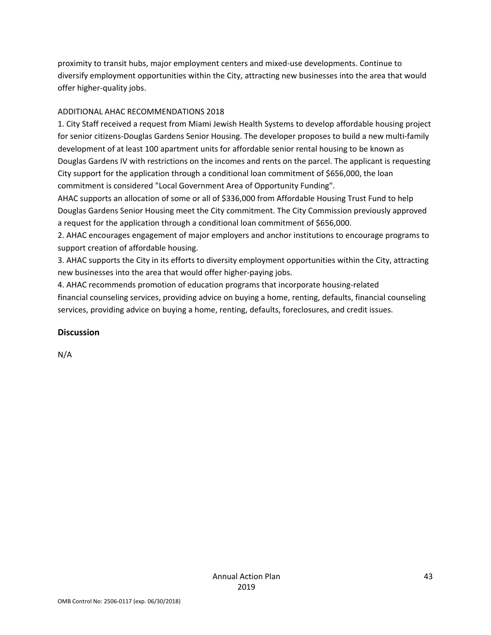proximity to transit hubs, major employment centers and mixed‐use developments. Continue to diversify employment opportunities within the City, attracting new businesses into the area that would offer higher‐quality jobs.

#### ADDITIONAL AHAC RECOMMENDATIONS 2018

1. City Staff received a request from Miami Jewish Health Systems to develop affordable housing project for senior citizens‐Douglas Gardens Senior Housing. The developer proposes to build a new multi‐family development of at least 100 apartment units for affordable senior rental housing to be known as Douglas Gardens IV with restrictions on the incomes and rents on the parcel. The applicant is requesting City support for the application through a conditional loan commitment of \$656,000, the loan commitment is considered "Local Government Area of Opportunity Funding".

AHAC supports an allocation of some or all of \$336,000 from Affordable Housing Trust Fund to help Douglas Gardens Senior Housing meet the City commitment. The City Commission previously approved a request for the application through a conditional loan commitment of \$656,000.

2. AHAC encourages engagement of major employers and anchor institutions to encourage programs to support creation of affordable housing.

3. AHAC supports the City in its efforts to diversity employment opportunities within the City, attracting new businesses into the area that would offer higher‐paying jobs.

4. AHAC recommends promotion of education programs that incorporate housing‐related financial counseling services, providing advice on buying a home, renting, defaults, financial counseling services, providing advice on buying a home, renting, defaults, foreclosures, and credit issues.

#### **Discussion**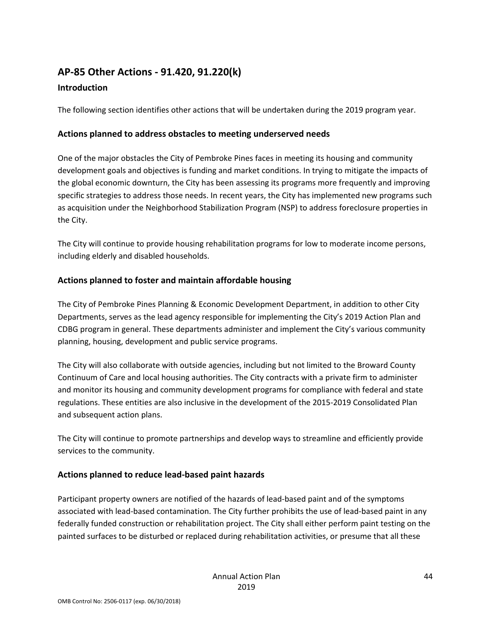# **AP‐85 Other Actions ‐ 91.420, 91.220(k)**

# **Introduction**

The following section identifies other actions that will be undertaken during the 2019 program year.

# **Actions planned to address obstacles to meeting underserved needs**

One of the major obstacles the City of Pembroke Pines faces in meeting its housing and community development goals and objectives is funding and market conditions. In trying to mitigate the impacts of the global economic downturn, the City has been assessing its programs more frequently and improving specific strategies to address those needs. In recent years, the City has implemented new programs such as acquisition under the Neighborhood Stabilization Program (NSP) to address foreclosure properties in the City.

The City will continue to provide housing rehabilitation programs for low to moderate income persons, including elderly and disabled households.

# **Actions planned to foster and maintain affordable housing**

The City of Pembroke Pines Planning & Economic Development Department, in addition to other City Departments, serves as the lead agency responsible for implementing the City's 2019 Action Plan and CDBG program in general. These departments administer and implement the City's various community planning, housing, development and public service programs.

The City will also collaborate with outside agencies, including but not limited to the Broward County Continuum of Care and local housing authorities. The City contracts with a private firm to administer and monitor its housing and community development programs for compliance with federal and state regulations. These entities are also inclusive in the development of the 2015‐2019 Consolidated Plan and subsequent action plans.

The City will continue to promote partnerships and develop ways to streamline and efficiently provide services to the community.

# **Actions planned to reduce lead‐based paint hazards**

Participant property owners are notified of the hazards of lead‐based paint and of the symptoms associated with lead-based contamination. The City further prohibits the use of lead-based paint in any federally funded construction or rehabilitation project. The City shall either perform paint testing on the painted surfaces to be disturbed or replaced during rehabilitation activities, or presume that all these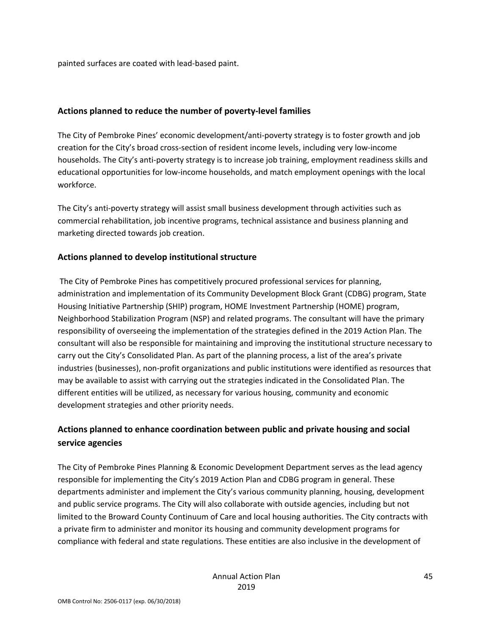painted surfaces are coated with lead‐based paint.

#### **Actions planned to reduce the number of poverty‐level families**

The City of Pembroke Pines' economic development/anti‐poverty strategy is to foster growth and job creation for the City's broad cross‐section of resident income levels, including very low‐income households. The City's anti‐poverty strategy is to increase job training, employment readiness skills and educational opportunities for low‐income households, and match employment openings with the local workforce.

The City's anti-poverty strategy will assist small business development through activities such as commercial rehabilitation, job incentive programs, technical assistance and business planning and marketing directed towards job creation.

#### **Actions planned to develop institutional structure**

The City of Pembroke Pines has competitively procured professional services for planning, administration and implementation of its Community Development Block Grant (CDBG) program, State Housing Initiative Partnership (SHIP) program, HOME Investment Partnership (HOME) program, Neighborhood Stabilization Program (NSP) and related programs. The consultant will have the primary responsibility of overseeing the implementation of the strategies defined in the 2019 Action Plan. The consultant will also be responsible for maintaining and improving the institutional structure necessary to carry out the City's Consolidated Plan. As part of the planning process, a list of the area's private industries (businesses), non‐profit organizations and public institutions were identified as resources that may be available to assist with carrying out the strategies indicated in the Consolidated Plan. The different entities will be utilized, as necessary for various housing, community and economic development strategies and other priority needs.

# **Actions planned to enhance coordination between public and private housing and social service agencies**

The City of Pembroke Pines Planning & Economic Development Department serves as the lead agency responsible for implementing the City's 2019 Action Plan and CDBG program in general. These departments administer and implement the City's various community planning, housing, development and public service programs. The City will also collaborate with outside agencies, including but not limited to the Broward County Continuum of Care and local housing authorities. The City contracts with a private firm to administer and monitor its housing and community development programs for compliance with federal and state regulations. These entities are also inclusive in the development of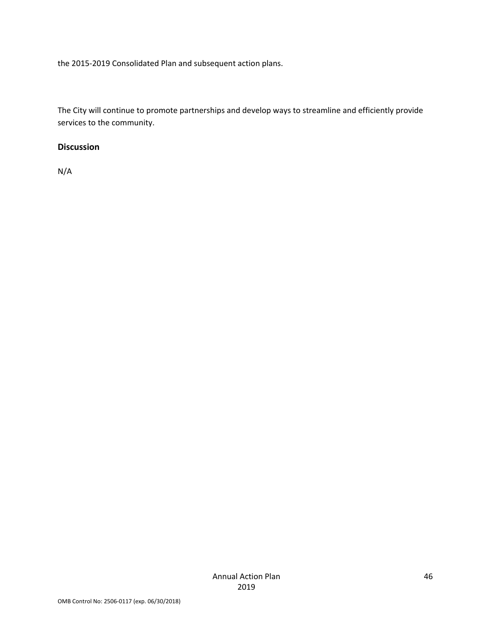the 2015‐2019 Consolidated Plan and subsequent action plans.

The City will continue to promote partnerships and develop ways to streamline and efficiently provide services to the community.

#### **Discussion**